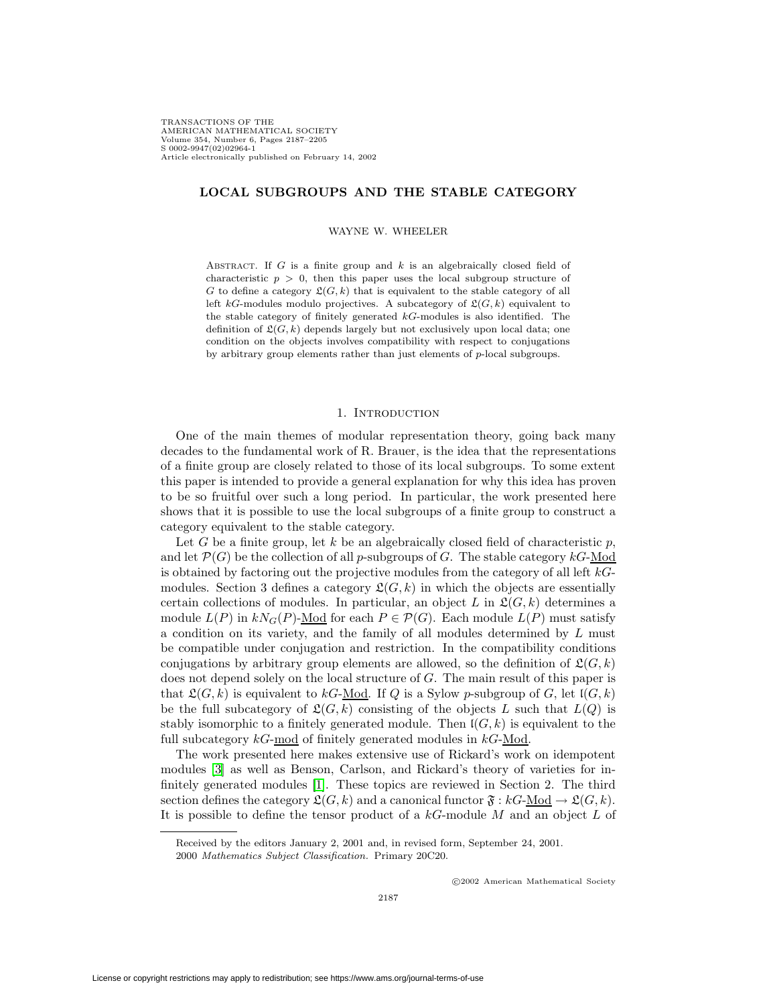TRANSACTIONS OF THE AMERICAN MATHEMATICAL SOCIETY Volume 354, Number 6, Pages 2187–2205 S 0002-9947(02)02964-1 Article electronically published on February 14, 2002

## **LOCAL SUBGROUPS AND THE STABLE CATEGORY**

WAYNE W. WHEELER

ABSTRACT. If  $G$  is a finite group and  $k$  is an algebraically closed field of characteristic  $p > 0$ , then this paper uses the local subgroup structure of G to define a category  $\mathfrak{L}(G, k)$  that is equivalent to the stable category of all left kG-modules modulo projectives. A subcategory of  $\mathfrak{L}(G, k)$  equivalent to the stable category of finitely generated kG-modules is also identified. The definition of  $\mathfrak{L}(G, k)$  depends largely but not exclusively upon local data; one condition on the objects involves compatibility with respect to conjugations by arbitrary group elements rather than just elements of p-local subgroups.

### 1. INTRODUCTION

One of the main themes of modular representation theory, going back many decades to the fundamental work of R. Brauer, is the idea that the representations of a finite group are closely related to those of its local subgroups. To some extent this paper is intended to provide a general explanation for why this idea has proven to be so fruitful over such a long period. In particular, the work presented here shows that it is possible to use the local subgroups of a finite group to construct a category equivalent to the stable category.

Let G be a finite group, let k be an algebraically closed field of characteristic p, and let  $\mathcal{P}(G)$  be the collection of all p-subgroups of G. The stable category  $kG$ -Mod is obtained by factoring out the projective modules from the category of all left  $k$ -Gmodules. Section 3 defines a category  $\mathfrak{L}(G, k)$  in which the objects are essentially certain collections of modules. In particular, an object L in  $\mathfrak{L}(G, k)$  determines a module  $L(P)$  in  $kN_G(P)$ -Mod for each  $P \in \mathcal{P}(G)$ . Each module  $L(P)$  must satisfy a condition on its variety, and the family of all modules determined by L must be compatible under conjugation and restriction. In the compatibility conditions conjugations by arbitrary group elements are allowed, so the definition of  $\mathfrak{L}(G, k)$ does not depend solely on the local structure of G. The main result of this paper is that  $\mathfrak{L}(G, k)$  is equivalent to kG-<u>Mod</u>. If Q is a Sylow p-subgroup of G, let  $\mathfrak{l}(G, k)$ be the full subcategory of  $\mathfrak{L}(G, k)$  consisting of the objects L such that  $L(Q)$  is stably isomorphic to a finitely generated module. Then  $\mathfrak{l}(G, k)$  is equivalent to the full subcategory  $kG$ -mod of finitely generated modules in  $kG$ -Mod.

The work presented here makes extensive use of Rickard's work on idempotent modules [\[3\]](#page-18-0) as well as Benson, Carlson, and Rickard's theory of varieties for infinitely generated modules [\[1\]](#page-18-1). These topics are reviewed in Section 2. The third section defines the category  $\mathfrak{L}(G, k)$  and a canonical functor  $\mathfrak{F}: kG\text{-Mod} \to \mathfrak{L}(G, k)$ . It is possible to define the tensor product of a  $kG$ -module  $M$  and an object  $L$  of

c 2002 American Mathematical Society

Received by the editors January 2, 2001 and, in revised form, September 24, 2001.

<sup>2000</sup> Mathematics Subject Classification. Primary 20C20.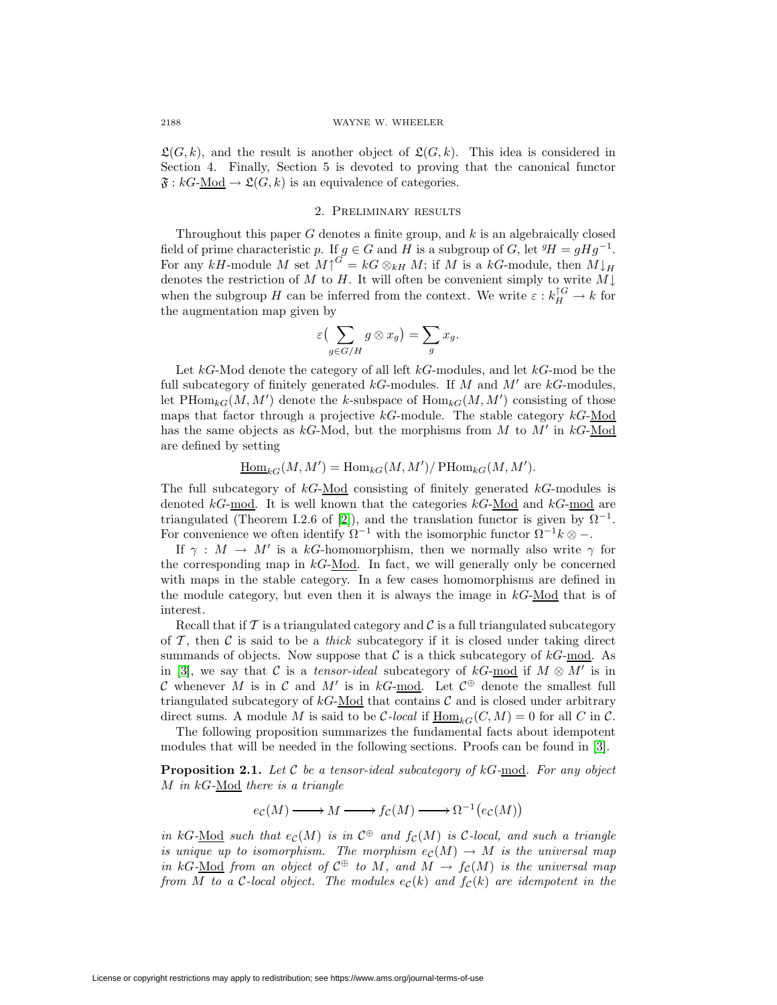$\mathfrak{L}(G, k)$ , and the result is another object of  $\mathfrak{L}(G, k)$ . This idea is considered in Section 4. Finally, Section 5 is devoted to proving that the canonical functor  $\mathfrak{F}: kG\text{-Mod} \to \mathfrak{L}(G,k)$  is an equivalence of categories.

## 2. Preliminary results

Throughout this paper G denotes a finite group, and  $k$  is an algebraically closed field of prime characteristic p. If  $g \in G$  and H is a subgroup of G, let  ${}^g H = g H g^{-1}$ . For any kH-module M set  $M\uparrow^{G'} = kG \otimes_{kH} M$ ; if M is a kG-module, then  $M\downarrow_H$ denotes the restriction of M to H. It will often be convenient simply to write  $M\downarrow$ when the subgroup H can be inferred from the context. We write  $\varepsilon : k_H^{\uparrow G} \to k$  for the augmentation map given by

$$
\varepsilon\left(\sum_{g\in G/H}g\otimes x_g\right)=\sum_g x_g.
$$

Let  $kG$ -Mod denote the category of all left  $kG$ -modules, and let  $kG$ -mod be the full subcategory of finitely generated  $k$ G-modules. If M and M' are  $k$ G-modules, let  $\text{PHom}_{kG}(M, M')$  denote the k-subspace of  $\text{Hom}_{kG}(M, M')$  consisting of those maps that factor through a projective  $k$ G-module. The stable category  $k$ G-Mod has the same objects as  $k$ G-Mod, but the morphisms from M to M' in  $k$ G-Mod are defined by setting

$$
\underline{\operatorname{Hom}}_{kG}(M,M') = \operatorname{Hom}_{kG}(M,M')/\operatorname{PHom}_{kG}(M,M').
$$

The full subcategory of  $kG$ -Mod consisting of finitely generated  $kG$ -modules is denoted  $kG$ -mod. It is well known that the categories  $kG$ -Mod and  $kG$ -mod are triangulated (Theorem I.2.6 of [\[2\]](#page-18-2)), and the translation functor is given by  $\Omega^{-1}$ . For convenience we often identify  $\Omega^{-1}$  with the isomorphic functor  $\Omega^{-1}k \otimes -$ .

If  $\gamma : M \to M'$  is a kG-homomorphism, then we normally also write  $\gamma$  for the corresponding map in  $k \text{G-Mod}$ . In fact, we will generally only be concerned with maps in the stable category. In a few cases homomorphisms are defined in the module category, but even then it is always the image in  $k\text{G-Mod}$  that is of interest.

Recall that if  $\mathcal T$  is a triangulated category and  $\mathcal C$  is a full triangulated subcategory of  $\mathcal{T}$ , then  $\mathcal{C}$  is said to be a *thick* subcategory if it is closed under taking direct summands of objects. Now suppose that  $\mathcal C$  is a thick subcategory of  $kG\text{-mod}$ . As in [\[3\]](#page-18-0), we say that C is a tensor-ideal subcategory of kG-mod if  $M \otimes M'$  is in C whenever M is in C and M' is in kG-mod. Let  $C^{\oplus}$  denote the smallest full triangulated subcategory of  $kG$ -Mod that contains  $C$  and is closed under arbitrary direct sums. A module M is said to be C-local if  $\underline{\text{Hom}}_{kG}(C,M) = 0$  for all C in C.

<span id="page-1-0"></span>The following proposition summarizes the fundamental facts about idempotent modules that will be needed in the following sections. Proofs can be found in [\[3\]](#page-18-0).

**Proposition 2.1.** Let  $C$  be a tensor-ideal subcategory of  $kG$ -mod. For any object M in  $kG$ -Mod there is a triangle

$$
e_{\mathcal{C}}(M)\longrightarrow M\longrightarrow f_{\mathcal{C}}(M)\longrightarrow \Omega^{-1}\big(e_{\mathcal{C}}(M)\big)
$$

in kG-Mod such that  $e_c(M)$  is in  $\mathcal{C}^{\oplus}$  and  $f_c(M)$  is C-local, and such a triangle is unique up to isomorphism. The morphism  $e_{\mathcal{C}}(M) \to M$  is the universal map in kG-Mod from an object of  $\mathcal{C}^{\oplus}$  to M, and  $M \to f_{\mathcal{C}}(M)$  is the universal map from M to a C-local object. The modules  $e_{\mathcal{C}}(k)$  and  $f_{\mathcal{C}}(k)$  are idempotent in the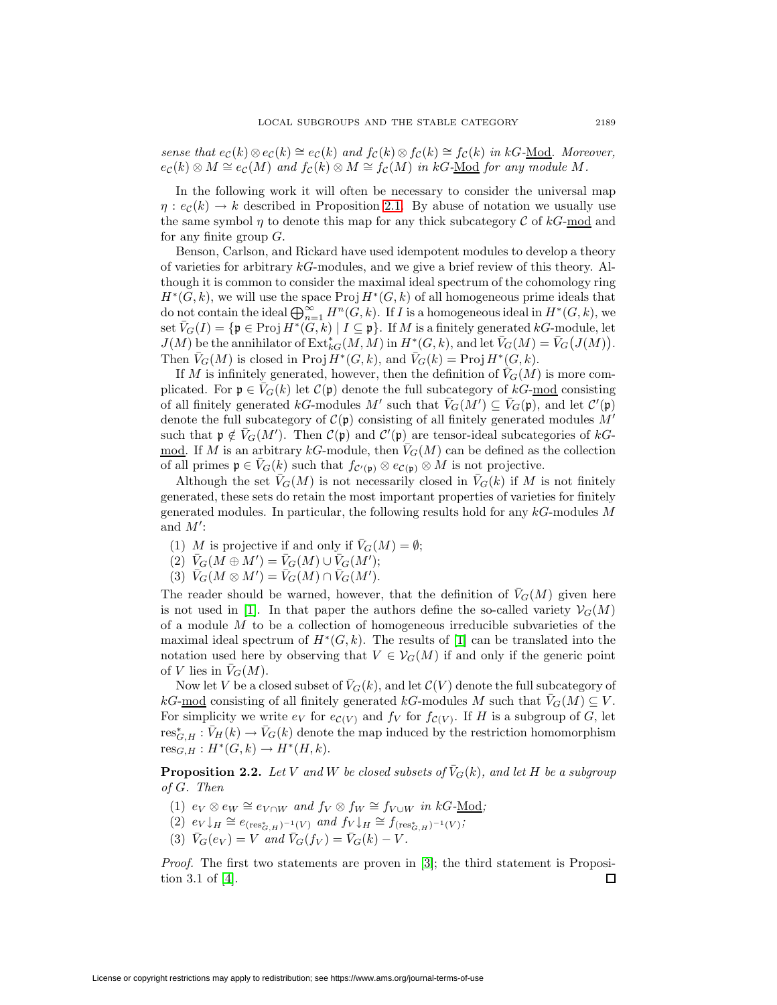sense that  $e_{\mathcal{C}}(k) \otimes e_{\mathcal{C}}(k) \cong e_{\mathcal{C}}(k)$  and  $f_{\mathcal{C}}(k) \otimes f_{\mathcal{C}}(k) \cong f_{\mathcal{C}}(k)$  in kG-Mod. Moreover,  $e_{\mathcal{C}}(k) \otimes M \cong e_{\mathcal{C}}(M)$  and  $f_{\mathcal{C}}(k) \otimes M \cong f_{\mathcal{C}}(M)$  in kG-Mod for any module M.

In the following work it will often be necessary to consider the universal map  $\eta$ :  $e_c(k) \rightarrow k$  described in Proposition [2.1.](#page-1-0) By abuse of notation we usually use the same symbol  $\eta$  to denote this map for any thick subcategory C of kG-mod and for any finite group  $G$ .

Benson, Carlson, and Rickard have used idempotent modules to develop a theory of varieties for arbitrary  $k$ G-modules, and we give a brief review of this theory. Although it is common to consider the maximal ideal spectrum of the cohomology ring  $H^*(G, k)$ , we will use the space Proj  $H^*(G, k)$  of all homogeneous prime ideals that do not contain the ideal  $\bigoplus_{n=1}^{\infty} H^n(G, k)$ . If I is a homogeneous ideal in  $H^*(G, k)$ , we set  $\overline{V}_G(I) = \{ \mathfrak{p} \in \text{Proj } H^*(G, k) \mid I \subseteq \mathfrak{p} \}.$  If M is a finitely generated kG-module, let  $J(M)$  be the annihilator of  $\operatorname{Ext}^*_{kG}(M,M)$  in  $H^*(G,k)$ , and let  $\bar{V}_G(M) = \bar{V}_G(J(M)).$ Then  $\bar{V}_G(M)$  is closed in Proj  $H^*(G, k)$ , and  $\bar{V}_G(k) = \text{Proj } H^*(G, k)$ .

If M is infinitely generated, however, then the definition of  $V_G(M)$  is more complicated. For  $\mathfrak{p} \in \overline{V}_G(k)$  let  $\mathcal{C}(\mathfrak{p})$  denote the full subcategory of  $kG$ -mod consisting of all finitely generated  $kG$ -modules M' such that  $\bar{V}_G(M') \subseteq \bar{V}_G(\mathfrak{p})$ , and let  $\mathcal{C}'(\mathfrak{p})$ denote the full subcategory of  $\mathcal{C}(\mathfrak{p})$  consisting of all finitely generated modules  $M'$ such that  $\mathfrak{p} \notin \overline{V}_G(M')$ . Then  $\mathcal{C}(\mathfrak{p})$  and  $\mathcal{C}'(\mathfrak{p})$  are tensor-ideal subcategories of  $kG$ -<u>mod</u>. If M is an arbitrary kG-module, then  $\bar{V}_G(M)$  can be defined as the collection of all primes  $\mathfrak{p} \in V_G(k)$  such that  $f_{\mathcal{C}'(\mathfrak{p})} \otimes e_{\mathcal{C}(\mathfrak{p})} \otimes M$  is not projective.

Although the set  $\bar{V}_G(M)$  is not necessarily closed in  $\bar{V}_G(k)$  if M is not finitely generated, these sets do retain the most important properties of varieties for finitely generated modules. In particular, the following results hold for any  $kG$ -modules M and  $M'$ :

- (1) M is projective if and only if  $\bar{V}_G(M) = \emptyset$ ;
- $\widetilde{V}_G(M \oplus M') = \overline{V}_G(M) \cup \overline{V}_G(M');$
- (3)  $\bar{V}_G(M \otimes M') = \bar{V}_G(M) \cap \bar{V}_G(M').$

The reader should be warned, however, that the definition of  $\bar{V}_G(M)$  given here is not used in [\[1\]](#page-18-1). In that paper the authors define the so-called variety  $\mathcal{V}_G(M)$ of a module  $M$  to be a collection of homogeneous irreducible subvarieties of the maximal ideal spectrum of  $H^*(G, k)$ . The results of [\[1\]](#page-18-1) can be translated into the notation used here by observing that  $V \in V_G(M)$  if and only if the generic point of V lies in  $\bar{V}_G(M)$ .

Now let V be a closed subset of  $\bar{V}_G(k)$ , and let  $\mathcal{C}(V)$  denote the full subcategory of kG-mod consisting of all finitely generated kG-modules M such that  $V_G(M) \subseteq V$ . For simplicity we write  $e_V$  for  $e_{\mathcal{C}(V)}$  and  $f_V$  for  $f_{\mathcal{C}(V)}$ . If H is a subgroup of G, let  $res^*_{G,H} : \bar{V}_H(k) \to \bar{V}_G(k)$  denote the map induced by the restriction homomorphism  $res_{G,H}: H^*(G,k) \to H^*(H,k).$ 

**Proposition 2.2.** Let V and W be closed subsets of  $\bar{V}_G(k)$ , and let H be a subgroup of G. Then

- (1)  $e_V \otimes e_W \cong e_{V \cap W}$  and  $f_V \otimes f_W \cong f_{V \cup W}$  in kG-Mod;
- (2)  $e_V\downarrow_H \cong e_{(\text{res}^*_{G,H})^{-1}(V)}$  and  $f_V\downarrow_H \cong f_{(\text{res}^*_{G,H})^{-1}(V)}$ ;
- (3)  $\bar{V}_G(e_V) = V$  and  $\bar{V}_G(f_V) = \bar{V}_G(k) V$ .

*Proof.* The first two statements are proven in  $[3]$ ; the third statement is Proposition 3.1 of [\[4\]](#page-18-3).  $\Box$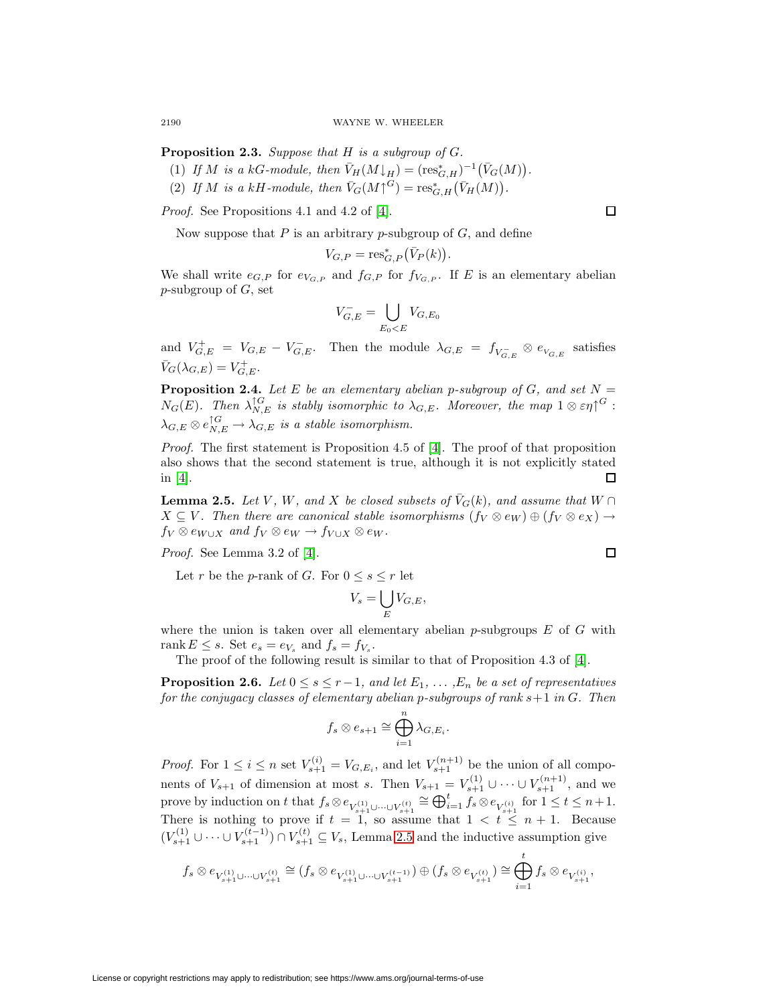**Proposition 2.3.** Suppose that H is a subgroup of G.

- (1) If M is a kG-module, then  $\bar{V}_H(M\downarrow_H) = (\mathrm{res}^*_{G,H})^{-1}(\bar{V}_G(M)).$
- (2) If M is a kH-module, then  $\bar{V}_G(M \uparrow^G) = \text{res}_{G,H}^* (\bar{V}_H(M)).$

Proof. See Propositions 4.1 and 4.2 of [\[4\]](#page-18-3).

Now suppose that P is an arbitrary p-subgroup of  $G$ , and define

$$
V_{G,P} = \operatorname{res}_{G,P}^* (\bar{V}_P(k)).
$$

We shall write  $e_{G,P}$  for  $e_{V_{G,P}}$  and  $f_{G,P}$  for  $f_{V_{G,P}}$ . If E is an elementary abelian  $p$ -subgroup of  $G$ , set

$$
V_{G,E}^- = \bigcup_{E_0
$$

and  $V_{G,E}^+ = V_{G,E} - V_{G,E}^-$ . Then the module  $\lambda_{G,E} = f_{V_{G,E}^-} \otimes e_{V_{G,E}}$  satisfies  $\bar{V}_G(\lambda_{G,E})=V_{G,E}^+$ .

<span id="page-3-1"></span>**Proposition 2.4.** Let E be an elementary abelian p-subgroup of G, and set  $N =$  $N_G(E)$ . Then  $\lambda_{N,E}^{\uparrow G}$  is stably isomorphic to  $\lambda_{G,E}$ . Moreover, the map  $1\otimes \varepsilon \eta^{\uparrow G}$ :  $\lambda_{G,E}\otimes e_{N,E}^{\uparrow G}\to \lambda_{G,E}$  is a stable isomorphism.

Proof. The first statement is Proposition 4.5 of [\[4\]](#page-18-3). The proof of that proposition also shows that the second statement is true, although it is not explicitly stated in [\[4\]](#page-18-3). □

<span id="page-3-0"></span>**Lemma 2.5.** Let V, W, and X be closed subsets of  $\overline{V}_G(k)$ , and assume that  $W \cap$  $X \subseteq V$ . Then there are canonical stable isomorphisms  $(f_V \otimes e_W) \oplus (f_V \otimes e_X) \rightarrow$  $f_V \otimes e_{W\cup X}$  and  $f_V \otimes e_W \to f_{V\cup X} \otimes e_W$ .

Proof. See Lemma 3.2 of [\[4\]](#page-18-3).

Let r be the p-rank of G. For  $0 \leq s \leq r$  let

$$
V_s = \bigcup_E V_{G,E},
$$

where the union is taken over all elementary abelian p-subgroups  $E$  of  $G$  with rank  $E \leq s$ . Set  $e_s = e_{V_s}$  and  $f_s = f_{V_s}$ .

The proof of the following result is similar to that of Proposition 4.3 of [\[4\]](#page-18-3).

**Proposition 2.6.** Let  $0 \leq s \leq r-1$ , and let  $E_1, \ldots, E_n$  be a set of representatives for the conjugacy classes of elementary abelian p-subgroups of rank  $s+1$  in  $G$ . Then

$$
f_s \otimes e_{s+1} \cong \bigoplus_{i=1}^n \lambda_{G,E_i}.
$$

*Proof.* For  $1 \leq i \leq n$  set  $V_{s+1}^{(i)} = V_{G,E_i}$ , and let  $V_{s+1}^{(n+1)}$  be the union of all components of  $V_{s+1}$  of dimension at most s. Then  $V_{s+1} = V_{s+1}^{(1)} \cup \cdots \cup V_{s+1}^{(n+1)}$ , and we prove by induction on t that  $f_s \otimes e_{V_{s+1}^{(1)} \cup \cdots \cup V_{s+1}^{(t)}} \cong \bigoplus_{i=1}^t f_s \otimes e_{V_{s+1}^{(i)}}$  for  $1 \leq t \leq n+1$ . There is nothing to prove if  $t = 1$ , so assume that  $1 < t \leq n + 1$ . Because  $(V_{s+1}^{(1)} \cup \cdots \cup V_{s+1}^{(t-1)}) \cap V_{s+1}^{(t)} \subseteq V_s$ , Lemma [2.5](#page-3-0) and the inductive assumption give

$$
f_s\otimes e_{V_{s+1}^{(1)}\cup\cdots\cup V_{s+1}^{(t)}}\cong (f_s\otimes e_{V_{s+1}^{(1)}\cup\cdots\cup V_{s+1}^{(t-1)}})\oplus (f_s\otimes e_{V_{s+1}^{(t)}})\cong\bigoplus_{i=1}^t f_s\otimes e_{V_{s+1}^{(i)}},
$$

License or copyright restrictions may apply to redistribution; see https://www.ams.org/journal-terms-of-use

 $\Box$ 

 $\Box$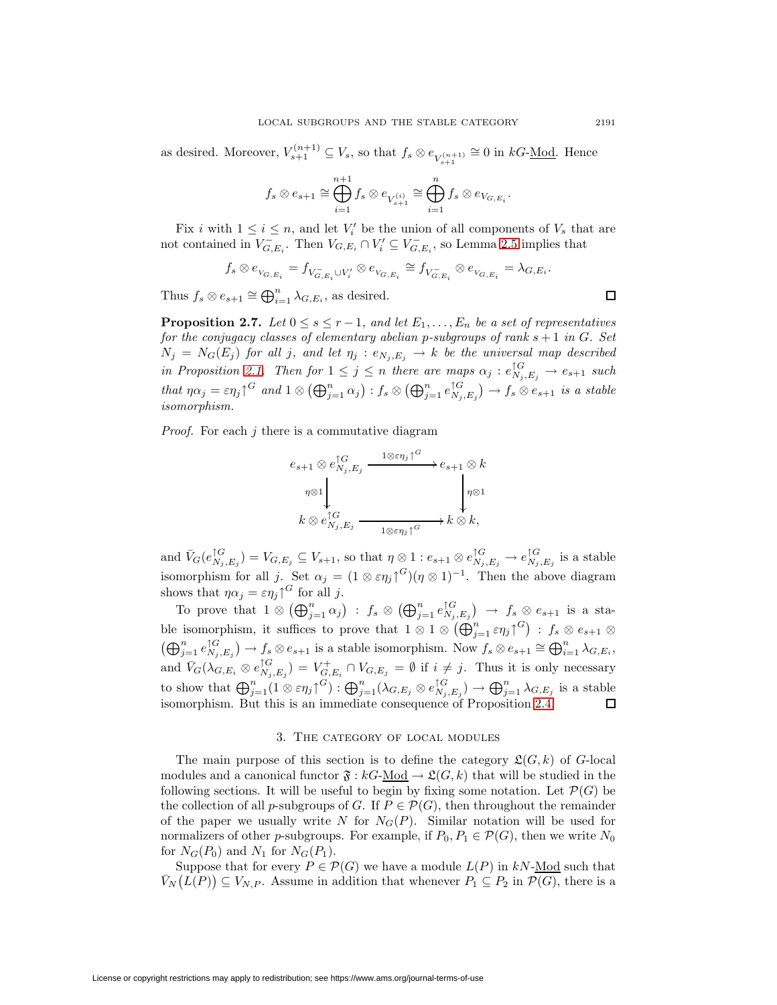as desired. Moreover,  $V_{s+1}^{(n+1)} \subseteq V_s$ , so that  $f_s \otimes e_{V_{s+1}^{(n+1)}} \cong 0$  in  $kG$ -<u>Mod</u>. Hence

$$
f_s\otimes e_{s+1}\cong\bigoplus_{i=1}^{n+1}f_s\otimes e_{V_{s+1}^{(i)}}\cong\bigoplus_{i=1}^n f_s\otimes e_{V_{G,E_i}}.
$$

Fix i with  $1 \leq i \leq n$ , and let  $V_i'$  be the union of all components of  $V_s$  that are not contained in  $V_{G,E_i}^-$ . Then  $V_{G,E_i} \cap V_i' \subseteq V_{G,E_i}^-$ , so Lemma [2.5](#page-3-0) implies that

$$
f_s\otimes e_{V_{G,E_i}}=f_{V_{G,E_i}\cup V_i'}\otimes e_{V_{G,E_i}}\cong f_{V_{G,E_i}^-}\otimes e_{V_{G,E_i}}=\lambda_{G,E_i}.
$$

Thus  $f_s \otimes e_{s+1} \cong \bigoplus_{i=1}^n \lambda_{G,E_i}$ , as desired.

<span id="page-4-0"></span>**Proposition 2.7.** Let  $0 \leq s \leq r-1$ , and let  $E_1, \ldots, E_n$  be a set of representatives for the conjugacy classes of elementary abelian p-subgroups of rank  $s + 1$  in G. Set  $N_j = N_G(E_j)$  for all j, and let  $\eta_j : e_{N_j,E_j} \to k$  be the universal map described in Proposition [2.1.](#page-1-0) Then for  $1 \leq j \leq n$  there are maps  $\alpha_j : e_{N_j, E_j}^{\uparrow G} \to e_{s+1}$  such that  $\eta \alpha_j = \varepsilon \eta_j \gamma^G$  and  $1 \otimes (\bigoplus_{j=1}^n \alpha_j) : f_s \otimes (\bigoplus_{j=1}^n e_{N_j, E_j}^{\uparrow G}) \to f_s \otimes e_{s+1}$  is a stable isomorphism.

*Proof.* For each  $j$  there is a commutative diagram

$$
e_{s+1} \otimes e_{N_j, E_j}^{\uparrow G} \xrightarrow{1 \otimes \varepsilon \eta_j \uparrow^G} e_{s+1} \otimes k
$$
  
\n
$$
\eta \otimes 1 \downarrow \qquad \qquad \downarrow \eta \otimes 1
$$
  
\n
$$
k \otimes e_{N_j, E_j}^{\uparrow G} \xrightarrow{\qquad \qquad 1 \otimes \varepsilon \eta_j \uparrow^G} k \otimes k,
$$

and  $\bar{V}_G(e_{N_j,E_j}^{\uparrow G}) = V_{G,E_j} \subseteq V_{s+1}$ , so that  $\eta \otimes 1 : e_{s+1} \otimes e_{N_j,E_j}^{\uparrow G} \to e_{N_j,E_j}^{\uparrow G}$  is a stable isomorphism for all j. Set  $\alpha_j = (1 \otimes \varepsilon \eta_j)^{G} (\eta \otimes 1)^{-1}$ . Then the above diagram shows that  $\eta \alpha_j = \varepsilon \eta_j \uparrow^G$  for all j.

To prove that  $1 \otimes (\bigoplus_{j=1}^n \alpha_j) : f_s \otimes (\bigoplus_{j=1}^n e_{N_j,E_j}^{\uparrow G}) \to f_s \otimes e_{s+1}$  is a stable isomorphism, it suffices to prove that  $1 \otimes 1 \otimes (\bigoplus_{j=1}^n \varepsilon \eta_j)^{G}$  :  $f_s \otimes e_{s+1} \otimes$  $(\bigoplus_{j=1}^n e_{N_j,E_j}^{\uparrow G}) \to f_s \otimes e_{s+1}$  is a stable isomorphism. Now  $f_s \otimes e_{s+1} \cong \bigoplus_{i=1}^n \lambda_{G,E_i}$ , and  $\bar{V}_G(\lambda_{G,E_i} \otimes e_{N_j,E_j}^{\uparrow G}) = V_{G,E_i}^+ \cap V_{G,E_j} = \emptyset$  if  $i \neq j$ . Thus it is only necessary to show that  $\bigoplus_{j=1}^n (1 \otimes \varepsilon \eta_j)^{G} : \bigoplus_{j=1}^n (\lambda_{G,E_j} \otimes e_{N_j,E_j}^{\uparrow G}) \to \bigoplus_{j=1}^n \lambda_{G,E_j}$  is a stable isomorphism. But this is an immediate consequence of Proposition [2.4.](#page-3-1)

#### 3. The category of local modules

The main purpose of this section is to define the category  $\mathfrak{L}(G, k)$  of G-local modules and a canonical functor  $\mathfrak{F}: kG\text{-Mod} \to \mathfrak{L}(G, k)$  that will be studied in the following sections. It will be useful to begin by fixing some notation. Let  $\mathcal{P}(G)$  be the collection of all p-subgroups of G. If  $P \in \mathcal{P}(G)$ , then throughout the remainder of the paper we usually write N for  $N_G(P)$ . Similar notation will be used for normalizers of other p-subgroups. For example, if  $P_0, P_1 \in \mathcal{P}(G)$ , then we write  $N_0$ for  $N_G(P_0)$  and  $N_1$  for  $N_G(P_1)$ .

Suppose that for every  $P \in \mathcal{P}(G)$  we have a module  $L(P)$  in kN-Mod such that  $\bar{V}_N(L(P)) \subseteq V_{N,P}$ . Assume in addition that whenever  $P_1 \subseteq P_2$  in  $\mathcal{P}(G)$ , there is a

 $\Box$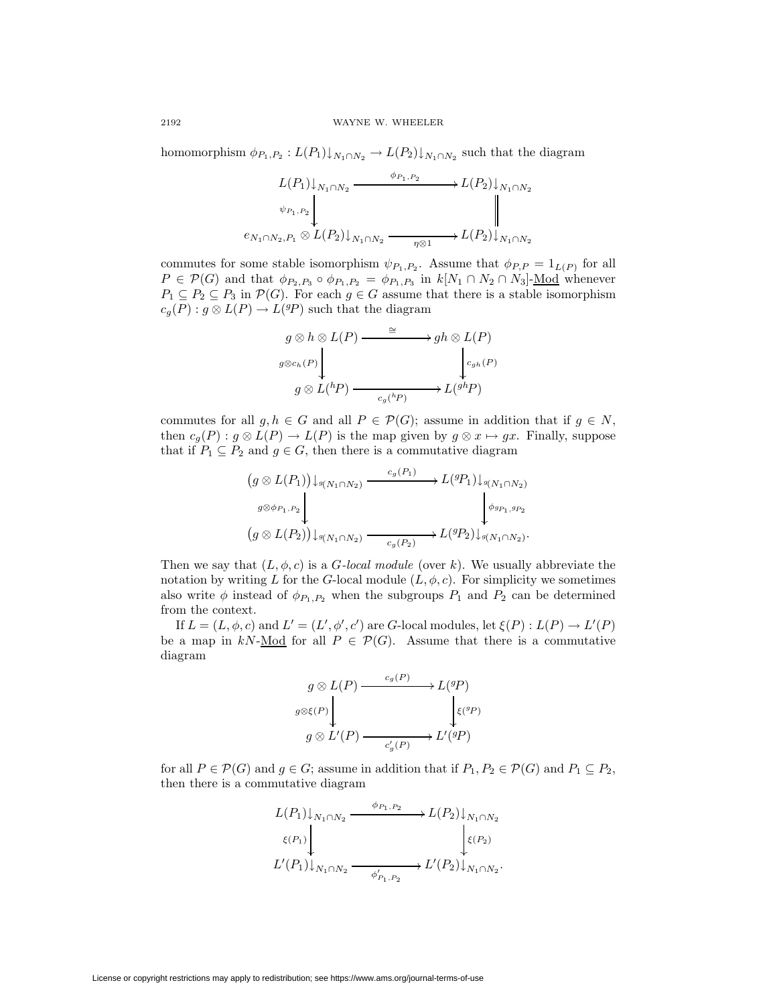homomorphism  $\phi_{P_1,P_2}: L(P_1)\downarrow_{N_1\cap N_2} \to L(P_2)\downarrow_{N_1\cap N_2}$  such that the diagram

$$
L(P_1)\downarrow_{N_1\cap N_2} \xrightarrow{\phi_{P_1,P_2}} L(P_2)\downarrow_{N_1\cap N_2}
$$
  
\n
$$
\psi_{P_1,P_2}\downarrow \qquad \qquad \downarrow
$$
  
\n
$$
e_{N_1\cap N_2,P_1}\otimes L(P_2)\downarrow_{N_1\cap N_2} \xrightarrow{\eta\otimes 1} L(P_2)\downarrow_{N_1\cap N_2}
$$

commutes for some stable isomorphism  $\psi_{P_1,P_2}$ . Assume that  $\phi_{P,P} = 1_{L(P)}$  for all  $P \in \mathcal{P}(G)$  and that  $\phi_{P_2,P_3} \circ \phi_{P_1,P_2} = \phi_{P_1,P_3}$  in  $k[N_1 \cap N_2 \cap N_3]$ -Mod whenever  $P_1 \subseteq P_2 \subseteq P_3$  in  $\mathcal{P}(G)$ . For each  $g \in G$  assume that there is a stable isomorphism  $c_g(P) : g \otimes L(P) \to L({}^{g}P)$  such that the diagram

$$
g \otimes h \otimes L(P) \xrightarrow{\cong} gh \otimes L(P)
$$
  

$$
g \otimes c_h(P) \downarrow \qquad \qquad c_{gh}(P)
$$
  

$$
g \otimes L({}^h P) \xrightarrow{c_g({}^h P)} L({}^{gh} P)
$$

commutes for all  $g, h \in G$  and all  $P \in \mathcal{P}(G)$ ; assume in addition that if  $g \in N$ , then  $c_q(P) : g \otimes L(P) \to L(P)$  is the map given by  $g \otimes x \mapsto gx$ . Finally, suppose that if  $P_1 \subseteq P_2$  and  $g \in G$ , then there is a commutative diagram

$$
(g \otimes L(P_1)) \downarrow_{g(N_1 \cap N_2)} \xrightarrow{c_g(P_1)} L^{(g)} \downarrow_{g(N_1 \cap N_2)}
$$
  

$$
(g \otimes L(P_2)) \downarrow_{g(N_1 \cap N_2)} \xrightarrow{c_g(P_2)} L^{(g)} \downarrow_{g(N_1 \cap N_2)}.
$$

Then we say that  $(L, \phi, c)$  is a *G-local module* (over k). We usually abbreviate the notation by writing L for the G-local module  $(L, \phi, c)$ . For simplicity we sometimes also write  $\phi$  instead of  $\phi_{P_1,P_2}$  when the subgroups  $P_1$  and  $P_2$  can be determined from the context.

If  $L = (L, \phi, c)$  and  $L' = (L', \phi', c')$  are G-local modules, let  $\xi(P) : L(P) \to L'(P)$ be a map in kN-Mod for all  $P \in \mathcal{P}(G)$ . Assume that there is a commutative diagram

$$
g \otimes L(P) \xrightarrow{c_g(P)} L^{(g)} \downarrow
$$
  
\n
$$
g \otimes L'(P) \xrightarrow{c'_g(P)} L'(^{g}P)
$$
  
\n
$$
g \otimes L'(P) \xrightarrow{c'_g(P)} L'(^{g}P)
$$

for all  $P \in \mathcal{P}(G)$  and  $g \in G$ ; assume in addition that if  $P_1, P_2 \in \mathcal{P}(G)$  and  $P_1 \subseteq P_2$ , then there is a commutative diagram

$$
L(P_1)\downarrow_{N_1\cap N_2} \xrightarrow{\phi_{P_1,P_2}} L(P_2)\downarrow_{N_1\cap N_2}
$$
  

$$
\xi(P_1)\downarrow_{N_1\cap N_2} \xrightarrow{\phi'_{P_1,P_2}} L'(P_2)\downarrow_{N_1\cap N_2}.
$$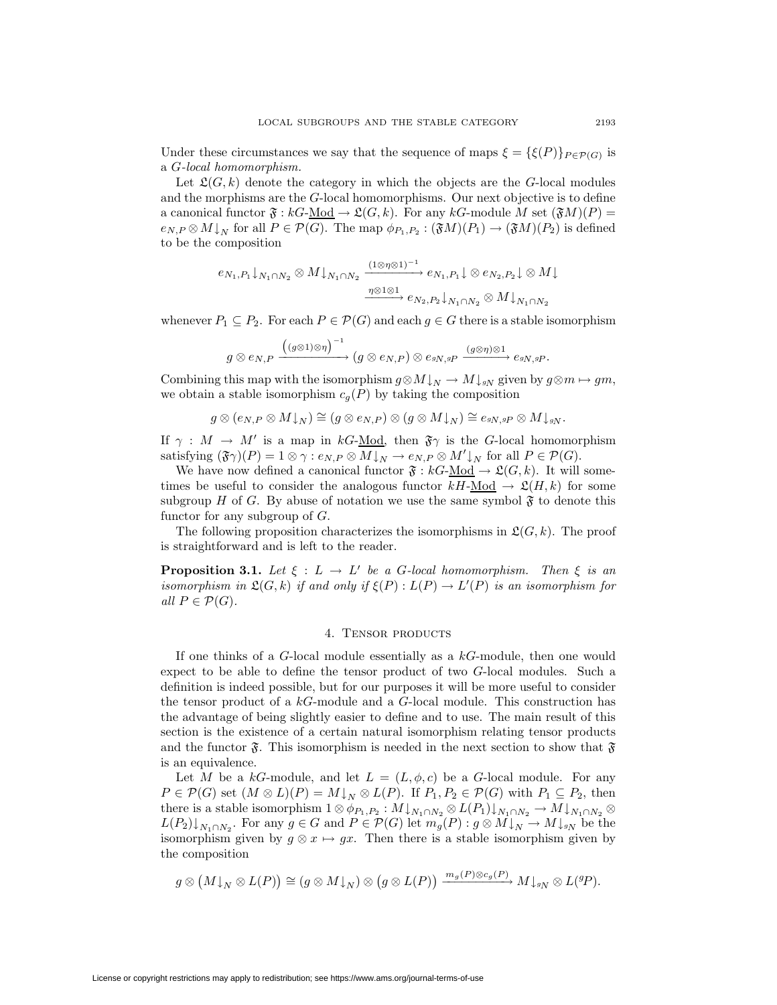Under these circumstances we say that the sequence of maps  $\xi = {\xi(P)}_{P \in \mathcal{P}(G)}$  is a G-local homomorphism.

Let  $\mathfrak{L}(G, k)$  denote the category in which the objects are the G-local modules and the morphisms are the G-local homomorphisms. Our next objective is to define a canonical functor  $\mathfrak{F}: kG\text{-Mod} \to \mathfrak{L}(G, k)$ . For any  $kG\text{-module } M$  set  $(\mathfrak{F}M)(P)$  =  $e_{N,P} \otimes M\downarrow_N$  for all  $P \in \mathcal{P}(G)$ . The map  $\phi_{P_1,P_2} : (\mathfrak{F}M)(P_1) \to (\mathfrak{F}M)(P_2)$  is defined to be the composition

$$
e_{N_1,P_1}\downarrow_{N_1\cap N_2}\otimes M\downarrow_{N_1\cap N_2} \xrightarrow{\left(1\otimes\eta\otimes1\right)^{-1}} e_{N_1,P_1}\downarrow\otimes e_{N_2,P_2}\downarrow\otimes M\downarrow
$$
  

$$
\xrightarrow{\eta\otimes1\otimes1} e_{N_2,P_2}\downarrow_{N_1\cap N_2}\otimes M\downarrow_{N_1\cap N_2}
$$

whenever  $P_1 \subseteq P_2$ . For each  $P \in \mathcal{P}(G)$  and each  $g \in G$  there is a stable isomorphism

$$
g\otimes e_{N,P}\xrightarrow{\Big((g\otimes 1)\otimes \eta\Big)^{-1}} (g\otimes e_{N,P})\otimes e_{^gN,gP}\xrightarrow{(g\otimes \eta)\otimes 1}e_{^gN,gP}.
$$

Combining this map with the isomorphism  $g \otimes M \downarrow_N \to M \downarrow_{gN}$  given by  $g \otimes m \mapsto gm$ , we obtain a stable isomorphism  $c_g(P)$  by taking the composition

$$
g\otimes (e_{N,P}\otimes M{\downarrow_N})\cong (g\otimes e_{N,P})\otimes (g\otimes M{\downarrow_N})\cong e_{gN, gP}\otimes M{\downarrow_g_N}.
$$

If  $\gamma : M \to M'$  is a map in kG-Mod, then  $\mathfrak{F}\gamma$  is the G-local homomorphism satisfying  $(\mathfrak{F}\gamma)(P) = 1 \otimes \gamma : e_{N,P} \otimes M \downarrow_N \to e_{N,P} \otimes M' \downarrow_N$  for all  $P \in \mathcal{P}(G)$ .

We have now defined a canonical functor  $\mathfrak{F}: kG-\underline{Mod} \to \mathfrak{L}(G,k)$ . It will sometimes be useful to consider the analogous functor  $kH$ -Mod  $\rightarrow \mathfrak{L}(H, k)$  for some subgroup H of G. By abuse of notation we use the same symbol  $\mathfrak{F}$  to denote this functor for any subgroup of  $G$ .

<span id="page-6-0"></span>The following proposition characterizes the isomorphisms in  $\mathfrak{L}(G, k)$ . The proof is straightforward and is left to the reader.

**Proposition 3.1.** Let  $\xi : L \to L'$  be a G-local homomorphism. Then  $\xi$  is an isomorphism in  $\mathfrak{L}(G,k)$  if and only if  $\xi(P):L(P)\to L'(P)$  is an isomorphism for all  $P \in \mathcal{P}(G)$ .

### 4. Tensor products

If one thinks of a  $G$ -local module essentially as a  $kG$ -module, then one would expect to be able to define the tensor product of two G-local modules. Such a definition is indeed possible, but for our purposes it will be more useful to consider the tensor product of a kG-module and a G-local module. This construction has the advantage of being slightly easier to define and to use. The main result of this section is the existence of a certain natural isomorphism relating tensor products and the functor  $\mathfrak{F}$ . This isomorphism is needed in the next section to show that  $\mathfrak{F}$ is an equivalence.

Let M be a kG-module, and let  $L = (L, \phi, c)$  be a G-local module. For any  $P \in \mathcal{P}(G)$  set  $(M \otimes L)(P) = M \downarrow_N \otimes L(P)$ . If  $P_1, P_2 \in \mathcal{P}(G)$  with  $P_1 \subseteq P_2$ , then there is a stable isomorphism  $1 \otimes \phi_{P_1,P_2} : M \downarrow_{N_1 \cap N_2} \otimes L(P_1) \downarrow_{N_1 \cap N_2} \to M \downarrow_{N_1 \cap N_2} \otimes$  $L(P_2)\downarrow_{N_1\cap N_2}$ . For any  $g\in G$  and  $P\in \mathcal{P}(G)$  let  $m_g(P): g\otimes M\downarrow_N\to M\downarrow_{gN}$  be the isomorphism given by  $g \otimes x \mapsto gx$ . Then there is a stable isomorphism given by the composition

$$
g\otimes \big(M{\downarrow_N}\otimes L(P)\big)\cong (g\otimes M{\downarrow_N})\otimes \big(g\otimes L(P)\big)\xrightarrow{m_g(P)\otimes c_g(P)} M{\downarrow_{gN}}\otimes L({}^g\!P).
$$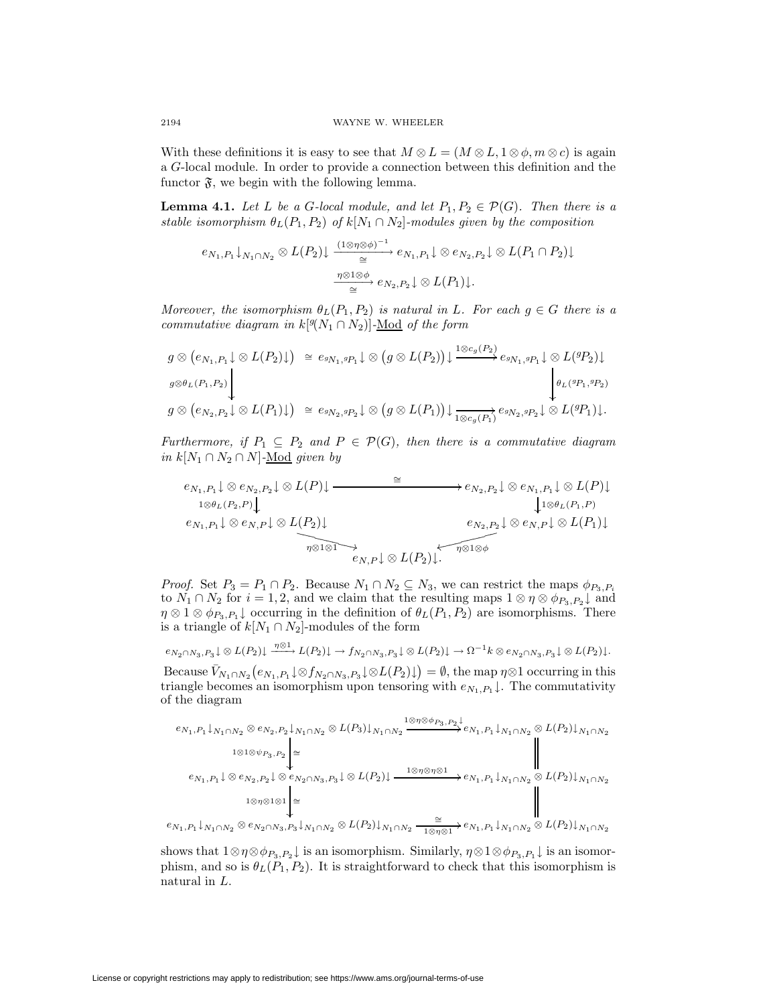With these definitions it is easy to see that  $M \otimes L = (M \otimes L, 1 \otimes \phi, m \otimes c)$  is again a G-local module. In order to provide a connection between this definition and the functor  $\mathfrak{F}$ , we begin with the following lemma.

<span id="page-7-0"></span>**Lemma 4.1.** Let L be a G-local module, and let  $P_1, P_2 \in \mathcal{P}(G)$ . Then there is a stable isomorphism  $\theta_L(P_1, P_2)$  of  $k[N_1 \cap N_2]$ -modules given by the composition

$$
e_{N_1,P_1}\downarrow_{N_1\cap N_2}\otimes L(P_2)\downarrow \xrightarrow[\cong]{(1\otimes \eta\otimes \phi)^{-1}} e_{N_1,P_1}\downarrow \otimes e_{N_2,P_2}\downarrow \otimes L(P_1\cap P_2)\downarrow
$$

$$
\xrightarrow[\cong]{\eta\otimes 1\otimes \phi} e_{N_2,P_2}\downarrow \otimes L(P_1)\downarrow.
$$

Moreover, the isomorphism  $\theta_L(P_1, P_2)$  is natural in L. For each  $g \in G$  there is a commutative diagram in  $k[{}^g(N_1 \cap N_2)]$ -Mod of the form

$$
g \otimes (e_{N_1, P_1} \downarrow \otimes L(P_2) \downarrow) \cong e_{sN_1, sP_1} \downarrow \otimes (g \otimes L(P_2)) \downarrow \xrightarrow{1 \otimes c_g(P_2)} e_{sN_1, sP_1} \downarrow \otimes L({}^{g}P_2) \downarrow
$$
  
\n
$$
g \otimes e_{L(P_1, P_2)} \downarrow \qquad \qquad \downarrow \qquad \qquad \downarrow
$$
  
\n
$$
g \otimes (e_{N_2, P_2} \downarrow \otimes L(P_1) \downarrow) \cong e_{sN_2, sP_2} \downarrow \otimes (g \otimes L(P_1)) \downarrow \xrightarrow{1 \otimes c_g(P_1)} e_{sN_2, sP_2} \downarrow \otimes L({}^{g}P_1) \downarrow.
$$

Furthermore, if  $P_1 \subseteq P_2$  and  $P \in \mathcal{P}(G)$ , then there is a commutative diagram *in*  $k[N_1 ∩ N_2 ∩ N]$ -<u>Mod</u> given by

$$
e_{N_1,P_1}\downarrow \otimes e_{N_2,P_2}\downarrow \otimes L(P)\downarrow \xrightarrow{\cong} e_{N_2,P_2}\downarrow \otimes e_{N_1,P_1}\downarrow \otimes L(P)\downarrow
$$
  
\n
$$
e_{N_1,P_1}\downarrow \otimes e_{N,P}\downarrow \otimes L(P_2)\downarrow \qquad \qquad e_{N_2,P_2}\downarrow \otimes e_{N,P}\downarrow \otimes L(P_1)\downarrow
$$
  
\n
$$
e_{N_2,P_2}\downarrow \otimes e_{N,P}\downarrow \otimes L(P_1)\downarrow
$$
  
\n
$$
e_{N_2,P}\downarrow \otimes e_{N,P}\downarrow \otimes L(P_1)\downarrow
$$
  
\n
$$
e_{N_2,P}\downarrow \otimes e_{N,P}\downarrow \otimes L(P_1)\downarrow
$$

*Proof.* Set  $P_3 = P_1 \cap P_2$ . Because  $N_1 \cap N_2 \subseteq N_3$ , we can restrict the maps  $\phi_{P_3,P_i}$ to  $N_1 \cap N_2$  for  $i = 1, 2$ , and we claim that the resulting maps  $1 \otimes \eta \otimes \phi_{P_3, P_2} \downarrow$  and  $\eta \otimes 1 \otimes \phi_{P_3,P_1}$  occurring in the definition of  $\theta_L(P_1,P_2)$  are isomorphisms. There is a triangle of  $k[N_1 \cap N_2]$ -modules of the form

$$
e_{N_2 \cap N_3, P_3} \downarrow \otimes L(P_2) \downarrow \xrightarrow{\eta \otimes 1} L(P_2) \downarrow \to f_{N_2 \cap N_3, P_3} \downarrow \otimes L(P_2) \downarrow \to \Omega^{-1} k \otimes e_{N_2 \cap N_3, P_3} \downarrow \otimes L(P_2) \downarrow.
$$

Because  $\bar{V}_{N_1 \cap N_2}(e_{N_1,P_1} \downarrow \otimes f_{N_2 \cap N_3,P_3} \downarrow \otimes L(P_2) \downarrow) = \emptyset$ , the map  $\eta \otimes 1$  occurring in this triangle becomes an isomorphism upon tensoring with  $e_{N_1,P_1}$ . The commutativity of the diagram

$$
e_{N_1,P_1}\downarrow_{N_1\cap N_2}\otimes e_{N_2,P_2}\downarrow_{N_1\cap N_2}\otimes L(P_3)\downarrow_{N_1\cap N_2}\xrightarrow{1\otimes\eta\otimes\phi_{P_3,P_2}}e_{N_1,P_1}\downarrow_{N_1\cap N_2}\otimes L(P_2)\downarrow_{N_1\cap N_2}
$$
  
\n
$$
e_{N_1,P_1}\downarrow\otimes e_{N_2,P_2}\downarrow\otimes e_{N_2\cap N_3,P_3}\downarrow\otimes L(P_2)\downarrow \xrightarrow{1\otimes\eta\otimes\eta\otimes 1}e_{N_1,P_1}\downarrow_{N_1\cap N_2}\otimes L(P_2)\downarrow_{N_1\cap N_2}
$$
  
\n
$$
e_{N_1,P_1}\downarrow\otimes e_{N_2,P_2}\downarrow\otimes e_{N_2\cap N_3,P_3}\downarrow\otimes L(P_2)\downarrow \xrightarrow{1\otimes\eta\otimes\eta\otimes 1}e_{N_1,P_1}\downarrow_{N_1\cap N_2}\otimes L(P_2)\downarrow_{N_1\cap N_2}
$$
  
\n
$$
e_{N_1,P_1}\downarrow_{N_1\cap N_2}\otimes L(P_2)\downarrow_{N_1\cap N_2}
$$
  
\n
$$
e_{N_1,P_1}\downarrow_{N_1\cap N_2}\otimes L(P_2)\downarrow_{N_1\cap N_2}
$$

 $e_{N_1,P_1}\downarrow_{N_1\cap N_2}\otimes e_{N_2\cap N_3,P_3}\downarrow_{N_1\cap N_2}\otimes L(P_2)\downarrow_{N_1\cap N_2}\frac{\cong}{\longrightarrow}$  $\frac{1}{1\otimes \eta\otimes 1}$  +  $e_{N_1,P_1}\downarrow_{N_1\cap N_2}$   $\otimes$   $L(P_2)\downarrow_{N_1\cap N_2}$ 

shows that  $1 \otimes \eta \otimes \phi_{P_3,P_2} \downarrow$  is an isomorphism. Similarly,  $\eta \otimes 1 \otimes \phi_{P_3,P_1} \downarrow$  is an isomorphism, and so is  $\theta_L(P_1, P_2)$ . It is straightforward to check that this isomorphism is natural in L.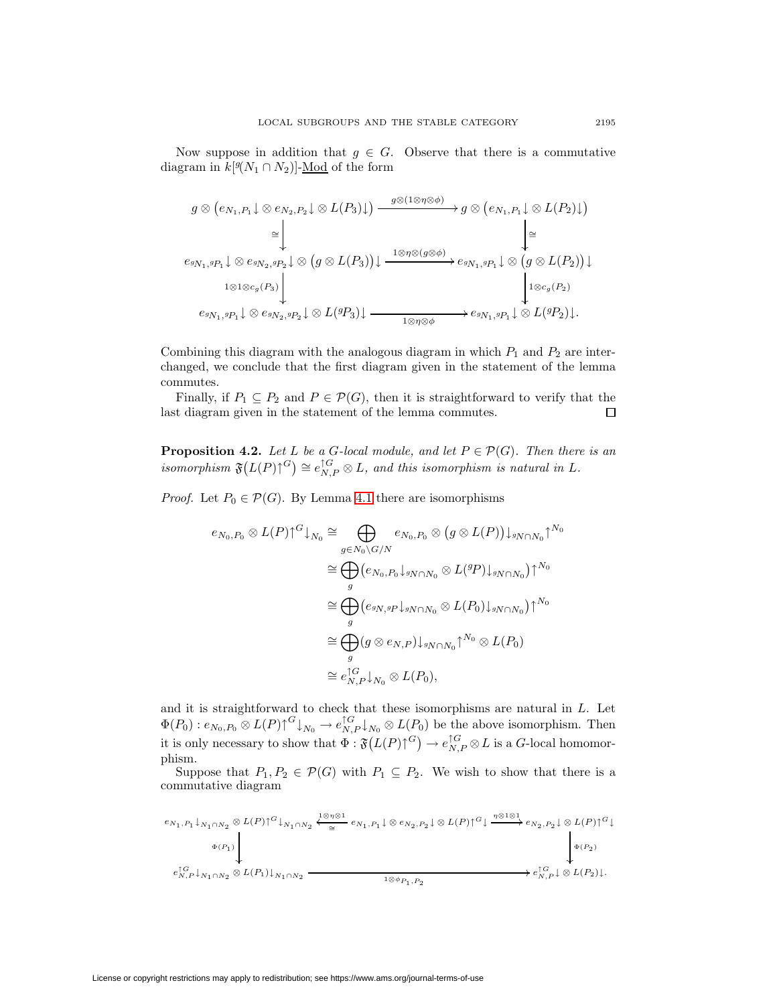Now suppose in addition that  $g \in G$ . Observe that there is a commutative diagram in  $k[\mathcal{Y}(N_1 \cap N_2)]$ -<u>Mod</u> of the form

$$
g \otimes (e_{N_1,P_1} \downarrow \otimes e_{N_2,P_2} \downarrow \otimes L(P_3) \downarrow) \xrightarrow{g \otimes (1 \otimes \eta \otimes \phi)} g \otimes (e_{N_1,P_1} \downarrow \otimes L(P_2) \downarrow)
$$
  
\n
$$
\cong \downarrow \qquad \qquad \downarrow \cong
$$
  
\n
$$
e_{g_{N_1,g_{P_1}} \downarrow \otimes e_{g_{N_2,g_{P_2}} \downarrow} \otimes (g \otimes L(P_3)) \downarrow \xrightarrow{1 \otimes \eta \otimes (g \otimes \phi)} e_{g_{N_1,g_{P_1}} \downarrow \otimes (g \otimes L(P_2)) \downarrow}
$$
  
\n
$$
e_{g_{N_1,g_{P_1}} \downarrow \otimes e_{g_{N_2,g_{P_2}} \downarrow} \otimes L(g_{P_3}) \downarrow \xrightarrow{1 \otimes \eta \otimes \phi} e_{g_{N_1,g_{P_1}} \downarrow \otimes L(g_{P_2}) \downarrow}.
$$

Combining this diagram with the analogous diagram in which  $P_1$  and  $P_2$  are interchanged, we conclude that the first diagram given in the statement of the lemma commutes.

Finally, if  $P_1 \subseteq P_2$  and  $P \in \mathcal{P}(G)$ , then it is straightforward to verify that the last diagram given in the statement of the lemma commutes.  $\Box$ 

<span id="page-8-0"></span>**Proposition 4.2.** Let L be a G-local module, and let  $P \in \mathcal{P}(G)$ . Then there is an isomorphism  $\mathfrak{F}(L(P)\uparrow^{G}) \cong e_{N,P}^{\uparrow G} \otimes L$ , and this isomorphism is natural in L.

*Proof.* Let  $P_0 \in \mathcal{P}(G)$ . By Lemma [4.1](#page-7-0) there are isomorphisms

$$
e_{N_0,P_0} \otimes L(P) \uparrow^G \downarrow_{N_0} \cong \bigoplus_{g \in N_0 \setminus G/N} e_{N_0,P_0} \otimes (g \otimes L(P)) \downarrow_{gN \cap N_0} \uparrow^{N_0}
$$
  
\n
$$
\cong \bigoplus_g (e_{N_0,P_0} \downarrow_{gN \cap N_0} \otimes L(^{g}P) \downarrow_{gN \cap N_0}) \uparrow^{N_0}
$$
  
\n
$$
\cong \bigoplus_g (e_{gN,gP} \downarrow_{gN \cap N_0} \otimes L(P_0) \downarrow_{gN \cap N_0}) \uparrow^{N_0}
$$
  
\n
$$
\cong \bigoplus_g (g \otimes e_{N,P}) \downarrow_{gN \cap N_0} \uparrow^{N_0} \otimes L(P_0)
$$
  
\n
$$
\cong e_{N,P}^{\uparrow G} \downarrow_{N_0} \otimes L(P_0),
$$

and it is straightforward to check that these isomorphisms are natural in L. Let  $\Phi(P_0): e_{N_0,P_0}\otimes L(P)\uparrow^G \downarrow_{N_0} \to e_{N,P}^{\uparrow G}\downarrow_{N_0}\otimes L(P_0)$  be the above isomorphism. Then it is only necessary to show that  $\Phi : \mathfrak{F}(L(P)\uparrow^G) \to e_{N,P}^{\uparrow G} \otimes L$  is a G-local homomorphism.

Suppose that  $P_1, P_2 \in \mathcal{P}(G)$  with  $P_1 \subseteq P_2$ . We wish to show that there is a commutative diagram

$$
\begin{CD} e_{N_1,P_1}\downarrow_{N_1\cap N_2}\otimes L(P){\uparrow}^G\downarrow_{N_1\cap N_2} \xleftarrow{\frac{1\otimes \eta \otimes 1}{\cong}} e_{N_1,P_1}\downarrow \otimes e_{N_2,P_2}\downarrow \otimes L(P){\uparrow}^G \downarrow \xrightarrow{\eta \otimes 1 \otimes 1} e_{N_2,P_2}\downarrow \otimes L(P){\uparrow}^G \downarrow \\ \downarrow^{ \uparrow G}_{N,P}\downarrow_{N_1\cap N_2}\otimes L(P_1)\downarrow_{N_1\cap N_2} \xrightarrow{\frac{1\otimes \eta \otimes 1}{\frac{1\otimes \phi_{P_1,P_2}{\dots}}}} e_{N_1,P_2}^{\uparrow G}\downarrow_{N_1\cap N_2} \xrightarrow{\eta \otimes \eta \otimes 1} e_{N_1,P_2}^{\uparrow G}\downarrow_{N_1\cap N_2} \end{CD}
$$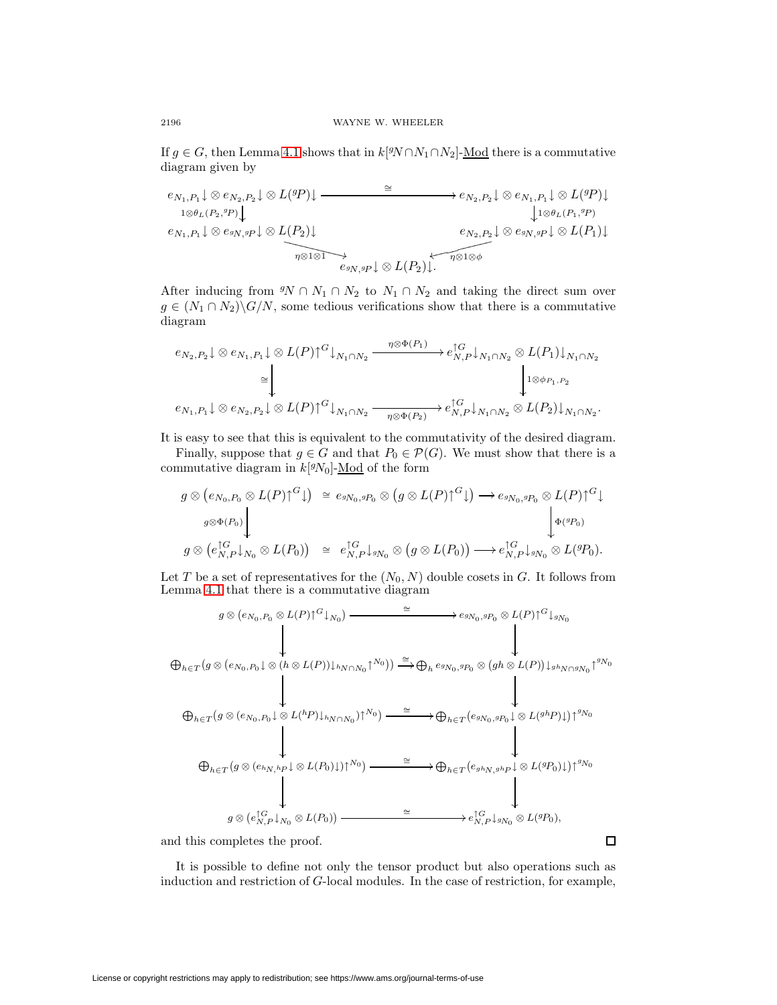If  $g \in G$ , then Lemma [4.1](#page-7-0) shows that in  $k[{}^gN \cap N_1 \cap N_2]$ -Mod there is a commutative diagram given by

$$
e_{N_1,P_1}\downarrow \otimes e_{N_2,P_2}\downarrow \otimes L(^{g}P)\downarrow \longrightarrow e_{N_2,P_2}\downarrow \otimes e_{N_1,P_1}\downarrow \otimes L(^{g}P)\downarrow
$$
  
\n
$$
e_{N_1,P_1}\downarrow \otimes e_{sN,sP}\downarrow \otimes L(P_2)\downarrow
$$
  
\n
$$
e_{N_1,P_1}\downarrow \otimes e_{sN,sP}\downarrow \otimes L(P_2)\downarrow
$$
  
\n
$$
e_{N_2,P_2}\downarrow \otimes e_{sN,sP}\downarrow \otimes L(P_1)\downarrow
$$
  
\n
$$
e_{sN,sP}\downarrow \otimes L(P_2)\downarrow
$$
  
\n
$$
e_{sN,sP}\downarrow \otimes L(P_2)\downarrow
$$
  
\n
$$
e_{sN,sP}\downarrow \otimes L(P_2)\downarrow
$$
  
\n
$$
e_{sN,sP}\downarrow \otimes L(P_2)\downarrow
$$
  
\n
$$
e_{sN,sP}\downarrow \otimes L(P_2)\downarrow
$$

After inducing from  $\mathcal{N} \cap N_1 \cap N_2$  to  $N_1 \cap N_2$  and taking the direct sum over  $g \in (N_1 \cap N_2) \backslash G/N$ , some tedious verifications show that there is a commutative diagram

$$
e_{N_2,P_2}\downarrow \otimes e_{N_1,P_1}\downarrow \otimes L(P){\uparrow}^G\downarrow_{N_1\cap N_2} \xrightarrow{\eta \otimes \Phi(P_1)} e_{N,P}^{\uparrow G}\downarrow_{N_1\cap N_2} \otimes L(P_1)\downarrow_{N_1\cap N_2}
$$

$$
\cong \qquad \qquad \downarrow \qquad \qquad \downarrow \otimes e_{P_1,P_2}
$$

$$
e_{N_1,P_1}\downarrow \otimes e_{N_2,P_2}\downarrow \otimes L(P){\uparrow}^G\downarrow_{N_1\cap N_2} \xrightarrow{\eta \otimes \Phi(P_2)} e_{N,P}^{\uparrow G}\downarrow_{N_1\cap N_2} \otimes L(P_2)\downarrow_{N_1\cap N_2}.
$$

It is easy to see that this is equivalent to the commutativity of the desired diagram.

Finally, suppose that  $g \in G$  and that  $P_0 \in \mathcal{P}(G)$ . We must show that there is a commutative diagram in  $k[<sup>g</sup>N<sub>0</sub>]$ - $\underline{\text{Mod}}$  of the form

$$
g \otimes (e_{N_0, P_0} \otimes L(P))^G \downarrow) \cong e_{g_{N_0}, g_{P_0}} \otimes (g \otimes L(P))^G \downarrow) \longrightarrow e_{g_{N_0}, g_{P_0}} \otimes L(P)^{\uparrow G} \downarrow
$$
  
\n
$$
g \otimes (e_{N, P}^{\uparrow G} \downarrow) \downarrow \qquad \qquad \downarrow \qquad \qquad \downarrow \qquad \qquad \downarrow \qquad \qquad \downarrow \qquad \qquad \downarrow \qquad \qquad \downarrow \qquad \qquad \downarrow \qquad \qquad \downarrow \qquad \qquad \downarrow \qquad \qquad \downarrow \qquad \qquad \downarrow \qquad \qquad \downarrow \qquad \qquad \downarrow \qquad \qquad \downarrow \qquad \qquad \downarrow \qquad \qquad \downarrow \qquad \qquad \downarrow \qquad \qquad \downarrow \qquad \qquad \downarrow \qquad \qquad \downarrow \qquad \qquad \downarrow \qquad \qquad \downarrow \qquad \qquad \downarrow \qquad \qquad \downarrow \qquad \qquad \downarrow \qquad \qquad \downarrow \qquad \qquad \downarrow \qquad \qquad \downarrow \qquad \qquad \downarrow \qquad \qquad \downarrow \qquad \qquad \downarrow \qquad \qquad \downarrow \qquad \qquad \downarrow \qquad \qquad \downarrow \qquad \qquad \downarrow \qquad \qquad \downarrow \qquad \qquad \downarrow \qquad \downarrow \qquad \qquad \downarrow \qquad \qquad \downarrow \qquad \qquad \downarrow \qquad \qquad \downarrow \qquad \qquad \downarrow \qquad \qquad \downarrow \qquad \qquad \downarrow \qquad \qquad \downarrow \qquad \qquad \downarrow \qquad \qquad \downarrow \qquad \qquad \downarrow \qquad \qquad \downarrow \qquad \qquad \downarrow \qquad \qquad \downarrow \qquad \qquad \downarrow \qquad \qquad \downarrow \qquad \qquad \downarrow \qquad \qquad \downarrow \qquad \qquad \downarrow \qquad \qquad \downarrow \qquad \qquad \downarrow \qquad \qquad \downarrow \qquad \qquad \downarrow \qquad \qquad \downarrow \qquad \qquad \downarrow \qquad \qquad \downarrow \qquad \qquad \downarrow \qquad \qquad \downarrow \qquad \qquad \downarrow \qquad \qquad \downarrow \qquad \qquad \downarrow \qquad \qquad \downarrow \qquad \qquad \
$$

Let T be a set of representatives for the  $(N_0, N)$  double cosets in G. It follows from Lemma [4.1](#page-7-0) that there is a commutative diagram

$$
g \otimes (e_{N_0, P_0} \otimes L(P))^G \downarrow_{N_0}) \longrightarrow \cong \longrightarrow e_{gN_0, gP_0} \otimes L(P)^{G} \downarrow_{gN_0}
$$
\n
$$
\oplus_{h \in T} (g \otimes (e_{N_0, P_0} \downarrow \otimes (h \otimes L(P)) \downarrow_{hN \cap N_0} \uparrow^{N_0})) \xrightarrow{\cong} \oplus_{h} e_{gN_0, gP_0} \otimes (gh \otimes L(P)) \downarrow_{ghN \cap gN_0} \uparrow^{gN_0}
$$
\n
$$
\oplus_{h \in T} (g \otimes (e_{N_0, P_0} \downarrow \otimes L(P)) \downarrow_{hN \cap N_0}) \uparrow^{N_0}) \xrightarrow{\cong} \oplus_{h \in T} (e_{gN_0, gP_0} \downarrow \otimes L(g^h P) \downarrow) \uparrow^{gN_0}
$$
\n
$$
\oplus_{h \in T} (g \otimes (e_{hN, hP} \downarrow \otimes L(P_0) \downarrow) \uparrow^{N_0}) \xrightarrow{\cong} \oplus_{h \in T} (e_{gN_0, gP_0} \downarrow \otimes L(g^g P_0) \downarrow) \uparrow^{gN_0}
$$
\n
$$
g \otimes (e_{N, P}^{\uparrow G} \downarrow_{N_0} \otimes L(P_0)) \xrightarrow{\cong} e_{N, P}^{\uparrow G} \downarrow_{gN_0} \otimes L(g^g P_0),
$$
\nnd this completes the proof.

and this completes the proof.

It is possible to define not only the tensor product but also operations such as induction and restriction of G-local modules. In the case of restriction, for example,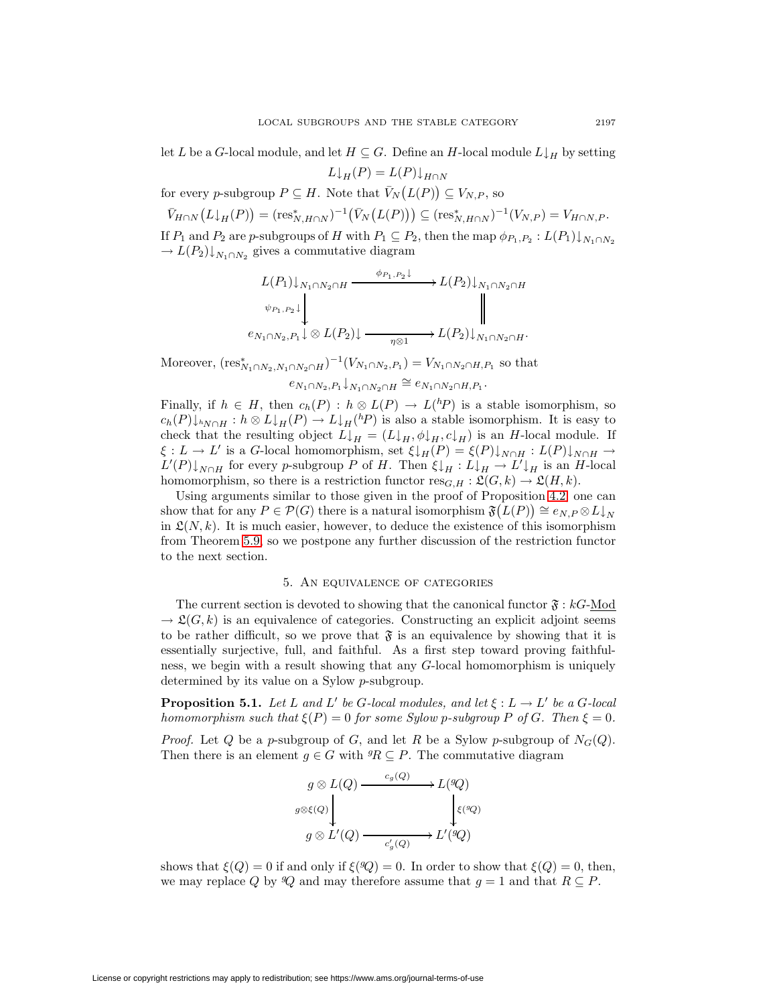let L be a G-local module, and let  $H \subseteq G$ . Define an H-local module  $L \downarrow_H$  by setting

 $L\downarrow_H(P) = L(P)\downarrow_{H\cap N}$ 

for every p-subgroup  $P \subseteq H$ . Note that  $\bar{V}_N(L(P)) \subseteq V_{N,P}$ , so

 $\bar{V}_{H\cap N}(L\downarrow_H(P)) = (\text{res}_{N,H\cap N}^*)^{-1}(\bar{V}_N(L(P))) \subseteq (\text{res}_{N,H\cap N}^*)^{-1}(V_{N,P}) = V_{H\cap N,P}.$ If  $P_1$  and  $P_2$  are p-subgroups of H with  $P_1 \subseteq P_2$ , then the map  $\phi_{P_1,P_2} : L(P_1) \downarrow_{N_1 \cap N_2}$  $\rightarrow L(P_2)\downarrow_{N_1\cap N_2}$  gives a commutative diagram

$$
L(P_1)\downarrow_{N_1\cap N_2\cap H} \xrightarrow{\phi_{P_1,P_2}\downarrow} L(P_2)\downarrow_{N_1\cap N_2\cap H}
$$
  
\n
$$
\psi_{P_1,P_2}\downarrow \qquad \qquad \downarrow
$$
  
\n
$$
e_{N_1\cap N_2,P_1}\downarrow \otimes L(P_2)\downarrow \xrightarrow{\eta \otimes 1} L(P_2)\downarrow_{N_1\cap N_2\cap H}.
$$

Moreover,  $(\text{res}_{N_1 \cap N_2, N_1 \cap N_2 \cap H}^*)^{-1}(V_{N_1 \cap N_2, P_1}) = V_{N_1 \cap N_2 \cap H, P_1}$  so that

 $e_{N_1\cap N_2,P_1}\downarrow_{N_1\cap N_2\cap H} \cong e_{N_1\cap N_2\cap H,P_1}$ .

Finally, if  $h \in H$ , then  $c_h(P) : h \otimes L(P) \to L({}^h P)$  is a stable isomorphism, so  $c_h(P) \downarrow_{hN \cap H} : h \otimes L \downarrow_H(P) \to L \downarrow_H(hP)$  is also a stable isomorphism. It is easy to check that the resulting object  $L\downarrow_H = (L\downarrow_H, \phi\downarrow_H, c\downarrow_H)$  is an H-local module. If  $\xi : L \to L'$  is a G-local homomorphism, set  $\xi \downarrow_H(P) = \xi(P) \downarrow_{N \cap H} : L(P) \downarrow_{N \cap H} \to$  $L'(P) \downarrow_{N \cap H}$  for every p-subgroup P of H. Then  $\xi \downarrow_H : L \downarrow_H \to L' \downarrow_H$  is an H-local homomorphism, so there is a restriction functor  ${\rm res}_{G,H} : \mathfrak L(G,k) \rightarrow \mathfrak L(H,k).$ 

Using arguments similar to those given in the proof of Proposition [4.2,](#page-8-0) one can show that for any  $P \in \mathcal{P}(G)$  there is a natural isomorphism  $\mathfrak{F}(L(P)) \cong e_{N,P} \otimes L\downarrow_N$ in  $\mathfrak{L}(N, k)$ . It is much easier, however, to deduce the existence of this isomorphism from Theorem [5.9,](#page-17-0) so we postpone any further discussion of the restriction functor to the next section.

## 5. An equivalence of categories

The current section is devoted to showing that the canonical functor  $\mathfrak{F}:kG\text{-Mod}$  $\rightarrow \mathfrak{L}(G, k)$  is an equivalence of categories. Constructing an explicit adjoint seems to be rather difficult, so we prove that  $\mathfrak{F}$  is an equivalence by showing that it is essentially surjective, full, and faithful. As a first step toward proving faithfulness, we begin with a result showing that any G-local homomorphism is uniquely determined by its value on a Sylow p-subgroup.

<span id="page-10-0"></span>**Proposition 5.1.** Let L and L' be G-local modules, and let  $\xi : L \to L'$  be a G-local homomorphism such that  $\xi(P)=0$  for some Sylow p-subgroup P of G. Then  $\xi = 0$ .

*Proof.* Let Q be a p-subgroup of G, and let R be a Sylow p-subgroup of  $N_G(Q)$ . Then there is an element  $g \in G$  with  ${}^g R \subseteq P$ . The commutative diagram

$$
g \otimes L(Q) \xrightarrow{c_g(Q)} L({}^gQ)
$$
  

$$
g \otimes L'(Q) \xrightarrow{c'_g(Q)} L'({}^gQ)
$$
  

$$
g \otimes L'(Q) \xrightarrow{c'_g(Q)} L'({}^gQ)
$$

shows that  $\xi(Q) = 0$  if and only if  $\xi(Q) = 0$ . In order to show that  $\xi(Q) = 0$ , then, we may replace Q by  $\mathcal{Q}$  and may therefore assume that  $g = 1$  and that  $R \subseteq P$ .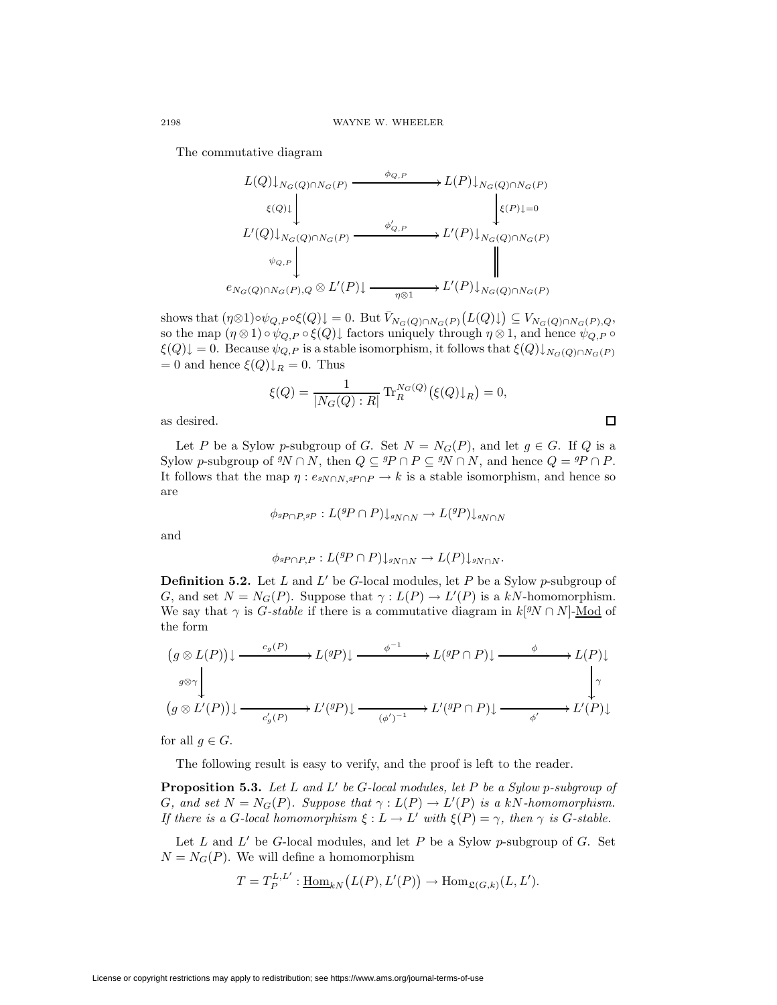The commutative diagram

$$
L(Q)\downarrow_{N_G(Q)\cap N_G(P)} \xrightarrow{\phi_{Q,P}} L(P)\downarrow_{N_G(Q)\cap N_G(P)} \downarrow_{\mathcal{E}(P)\downarrow_Q}
$$
  
\n
$$
L'(Q)\downarrow_{N_G(Q)\cap N_G(P)} \xrightarrow{\phi'_{Q,P}} L'(P)\downarrow_{N_G(Q)\cap N_G(P)} \downarrow_{\mathcal{E}(P)\downarrow_Q}
$$
  
\n
$$
e_{N_G(Q)\cap N_G(P), Q} \otimes L'(P)\downarrow \xrightarrow{\eta \otimes 1} L'(P)\downarrow_{N_G(Q)\cap N_G(P)}
$$

shows that  $(\eta \otimes 1) \circ \psi_{Q,P} \circ \xi(Q) \downarrow = 0$ . But  $\overline{V}_{N_G(Q) \cap N_G(P)}(L(Q) \downarrow) \subseteq V_{N_G(Q) \cap N_G(P),Q}$ , so the map  $(\eta \otimes 1) \circ \psi_{Q,P} \circ \xi(Q)$  factors uniquely through  $\eta \otimes 1$ , and hence  $\psi_{Q,P} \circ \xi(Q)$  $\xi(Q)\downarrow = 0$ . Because  $\psi_{Q,P}$  is a stable isomorphism, it follows that  $\xi(Q)\downarrow_{N_G(Q)\cap N_G(P)}$  $= 0$  and hence  $\xi(Q)\downarrow_R = 0$ . Thus

$$
\xi(Q) = \frac{1}{|N_G(Q) : R|} \text{Tr}_R^{N_G(Q)}(\xi(Q)\downarrow_R) = 0,
$$

 $\Box$ 

as desired.

Let P be a Sylow p-subgroup of G. Set  $N = N_G(P)$ , and let  $g \in G$ . If Q is a Sylow p-subgroup of  ${}^gN \cap N$ , then  $Q \subseteq {}^gP \cap P \subseteq {}^gN \cap N$ , and hence  $Q = {}^gP \cap P$ . It follows that the map  $\eta : e_{\text{SN} \cap N, \text{SP} \cap P} \to k$  is a stable isomorphism, and hence so are

$$
\phi_{^gP \cap P, ^gP}: L(^gP \cap P) \downarrow_{^gN \cap N} \to L(^gP) \downarrow_{^gN \cap N}
$$

and

$$
\phi_{^gP \cap P,P}: L({}^gP \cap P) \downarrow_{^gN \cap N} \to L(P) \downarrow_{^gN \cap N}.
$$

**Definition 5.2.** Let L and L' be G-local modules, let P be a Sylow p-subgroup of G, and set  $N = N_G(P)$ . Suppose that  $\gamma : L(P) \to L'(P)$  is a kN-homomorphism. We say that  $\gamma$  is *G-stable* if there is a commutative diagram in  $k[9N \cap N]$ -Mod of the form

$$
(g \otimes L(P)) \downarrow \xrightarrow{c_g(P)} L^{(g)} \downarrow L^{(g)} \downarrow \xrightarrow{f} L^{(g)} \downarrow L^{(g)} \downarrow L^{(g)} \downarrow L^{(g)} \downarrow L^{(g)} \downarrow L^{(g)} \downarrow L^{(g)} \downarrow L^{(g)} \downarrow L^{(g)} \downarrow L^{(g)} \downarrow L^{(g)} \downarrow L^{(g)} \downarrow L^{(g)} \downarrow L^{(g)} \downarrow L^{(g)} \downarrow L^{(g)} \downarrow L^{(g)} \downarrow L^{(g)} \downarrow L^{(g)} \downarrow L^{(g)} \downarrow L^{(g)} \downarrow L^{(g)} \downarrow L^{(g)} \downarrow L^{(g)} \downarrow L^{(g)} \downarrow L^{(g)} \downarrow L^{(g)} \downarrow L^{(g)} \downarrow L^{(g)} \downarrow L^{(g)} \downarrow L^{(g)} \downarrow L^{(g)} \downarrow L^{(g)} \downarrow L^{(g)} \downarrow L^{(g)} \downarrow L^{(g)} \downarrow L^{(g)} \downarrow L^{(g)} \downarrow L^{(g)} \downarrow L^{(g)} \downarrow L^{(g)} \downarrow L^{(g)} \downarrow L^{(g)} \downarrow L^{(g)} \downarrow L^{(g)} \downarrow L^{(g)} \downarrow L^{(g)} \downarrow L^{(g)} \downarrow L^{(g)} \downarrow L^{(g)} \downarrow L^{(g)} \downarrow L^{(g)} \downarrow L^{(g)} \downarrow L^{(g)} \downarrow L^{(g)} \downarrow L^{(g)} \downarrow L^{(g)} \downarrow L^{(g)} \downarrow L^{(g)} \downarrow L^{(g)} \downarrow L^{(g)} \downarrow L^{(g)} \downarrow L^{(g)} \downarrow L^{(g)} \downarrow L^{(g)} \downarrow L^{(g)} \downarrow L^{(g)} \downarrow L^{(g)} \downarrow L^{(g)} \downarrow L^{(g)} \downarrow L^{(g)} \downarrow L^{(g)} \downarrow L^{(g)} \downarrow L^{(g)} \downarrow L^{(g)} \downarrow L^{(g)} \downarrow L^{(g)} \downarrow L^{(g)} \downarrow L^{(g)} \downarrow L^{(g)} \downarrow L^{(g)} \downarrow L^{(g)} \downarrow L^{(g)} \downarrow L^{(g)} \downarrow L^{(g)} \downarrow L^{(g)} \downarrow L^{(g)} \downarrow L^{(g)} \downarrow L^{(g)} \downarrow L^{(g)} \down
$$

for all  $q \in G$ .

The following result is easy to verify, and the proof is left to the reader.

<span id="page-11-0"></span>**Proposition 5.3.** Let L and L' be G-local modules, let P be a Sylow p-subgroup of G, and set  $N = N_G(P)$ . Suppose that  $\gamma : L(P) \to L'(P)$  is a kN-homomorphism. If there is a G-local homomorphism  $\xi : L \to L'$  with  $\xi(P) = \gamma$ , then  $\gamma$  is G-stable.

Let  $L$  and  $L'$  be G-local modules, and let  $P$  be a Sylow p-subgroup of  $G$ . Set  $N = N<sub>G</sub>(P)$ . We will define a homomorphism

$$
T = T_P^{L,L'} : \underline{\text{Hom}}_{kN}(L(P), L'(P)) \to \text{Hom}_{\mathfrak{L}(G,k)}(L, L').
$$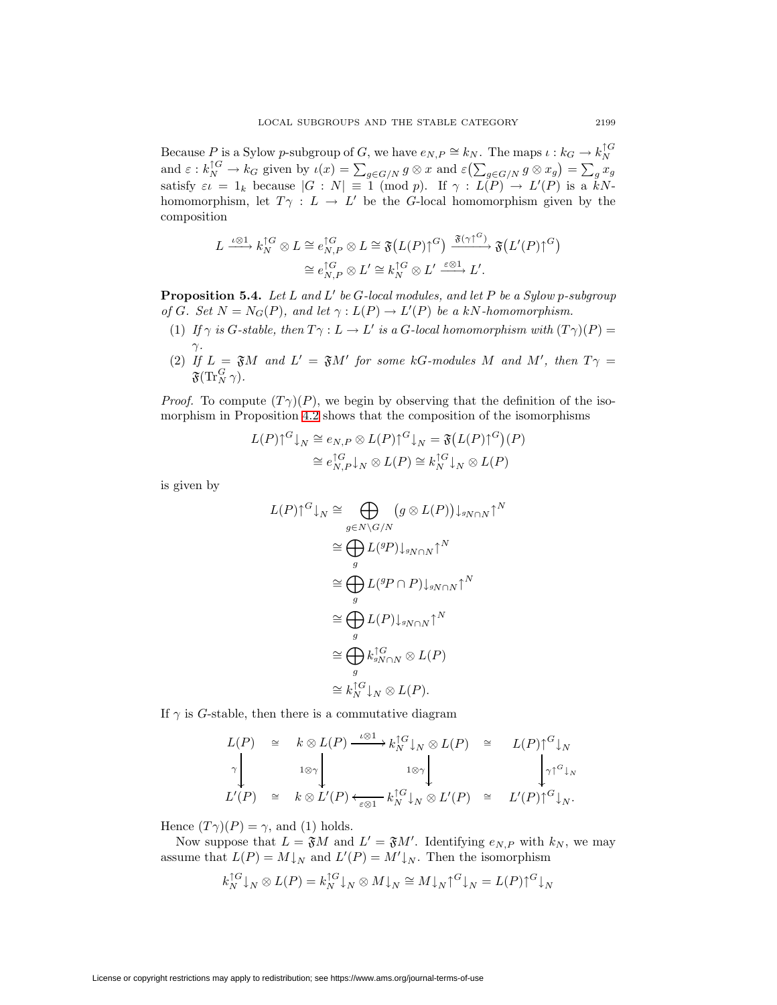Because P is a Sylow p-subgroup of G, we have  $e_{N,P} \cong k_N$ . The maps  $\iota : k_G \to k_N^{\uparrow G}$ and  $\varepsilon : k_N^{1G} \to k_G$  given by  $\iota(x) = \sum_{g \in G/N} g \otimes x$  and  $\varepsilon(\sum_{g \in G/N} g \otimes x_g) = \sum_g x_g$ satisfy  $\varepsilon \iota = 1_k$  because  $|G : N| \equiv 1 \pmod{p}$ . If  $\gamma : L(P) \to L'(P)$  is a kNhomomorphism, let  $T\gamma : L \to L'$  be the G-local homomorphism given by the composition

$$
L \xrightarrow{\iota \otimes 1} k_N^{\uparrow G} \otimes L \cong e_{N,P}^{\uparrow G} \otimes L \cong \mathfrak{F}\big(L(P)\uparrow^G\big) \xrightarrow{\mathfrak{F}(\gamma\uparrow^G)} \mathfrak{F}\big(L'(P)\uparrow^G\big) \cong e_{N,P}^{\uparrow G} \otimes L' \cong k_N^{\uparrow G} \otimes L' \xrightarrow{\varepsilon \otimes 1} L'.
$$

<span id="page-12-0"></span>**Proposition 5.4.** Let L and L' be G-local modules, and let P be a Sylow p-subgroup of G. Set  $N = N_G(P)$ , and let  $\gamma : L(P) \to L'(P)$  be a kN-homomorphism.

- (1) If  $\gamma$  is G-stable, then  $T\gamma : L \to L'$  is a G-local homomorphism with  $(T\gamma)(P) =$  $\gamma$ .
- (2) If  $L = \mathfrak{F}M$  and  $L' = \mathfrak{F}M'$  for some kG-modules M and M', then  $T\gamma =$  $\mathfrak{F}(\text{Tr}^G_N\,\gamma).$

*Proof.* To compute  $(T\gamma)(P)$ , we begin by observing that the definition of the isomorphism in Proposition [4.2](#page-8-0) shows that the composition of the isomorphisms

$$
L(P)\uparrow^{G}\downarrow_{N} \cong e_{N,P} \otimes L(P)\uparrow^{G}\downarrow_{N} = \mathfrak{F}\big(L(P)\uparrow^{G}\big)(P)
$$

$$
\cong e_{N,P}^{\uparrow G}\downarrow_{N} \otimes L(P) \cong k_{N}^{\uparrow G}\downarrow_{N} \otimes L(P)
$$

is given by

$$
L(P)\uparrow^{G}\downarrow_{N} \cong \bigoplus_{g\in N\backslash G/N} (g\otimes L(P))\downarrow_{gN\cap N}\uparrow^{N}
$$

$$
\cong \bigoplus_{g} L(^{g}P)\downarrow_{gN\cap N}\uparrow^{N}
$$

$$
\cong \bigoplus_{g} L(^{g}P\cap P)\downarrow_{gN\cap N}\uparrow^{N}
$$

$$
\cong \bigoplus_{g} L(P)\downarrow_{gN\cap N}\uparrow^{N}
$$

$$
\cong \bigoplus_{g} k_{gN\cap N}^{\uparrow G} \otimes L(P)
$$

$$
\cong k_{N}^{\uparrow G}\downarrow_{N} \otimes L(P).
$$

If  $\gamma$  is G-stable, then there is a commutative diagram

$$
L(P) \cong k \otimes L(P) \xrightarrow{\iota \otimes 1} k_N^{\uparrow G} \downarrow_N \otimes L(P) \cong L(P) \uparrow^G \downarrow_N
$$
  
\n
$$
\uparrow \qquad \qquad \downarrow \qquad \downarrow \qquad \downarrow \qquad \downarrow \qquad \downarrow \qquad \downarrow \qquad \downarrow \qquad \downarrow \qquad \downarrow \qquad \downarrow \qquad \downarrow \qquad \downarrow \qquad \downarrow \qquad \downarrow \qquad \downarrow \qquad \downarrow \qquad \downarrow \qquad \downarrow \qquad \downarrow \qquad \downarrow \qquad \downarrow \qquad \downarrow \qquad \downarrow \qquad \downarrow \qquad \downarrow \qquad \downarrow \qquad \downarrow \qquad \downarrow \qquad \downarrow \qquad \downarrow \qquad \downarrow \qquad \downarrow \qquad \downarrow \qquad \downarrow \qquad \downarrow \qquad \downarrow \qquad \downarrow \qquad \downarrow \qquad \downarrow \qquad \downarrow \qquad \downarrow \qquad \downarrow \qquad \downarrow \qquad \downarrow \qquad \downarrow \qquad \downarrow \qquad \downarrow \qquad \downarrow \qquad \downarrow \qquad \downarrow \qquad \downarrow \qquad \downarrow \qquad \downarrow \qquad \downarrow \qquad \downarrow \qquad \downarrow \qquad \downarrow \qquad \downarrow \qquad \downarrow \qquad \downarrow \qquad \downarrow \qquad \downarrow \qquad \downarrow \qquad \downarrow \qquad \downarrow \qquad \downarrow \qquad \downarrow \qquad \downarrow \qquad \downarrow \qquad \downarrow \qquad \downarrow \qquad \downarrow \qquad \downarrow \qquad \downarrow \qquad \downarrow \qquad \downarrow \qquad \downarrow \qquad \downarrow \qquad \downarrow \qquad \downarrow \qquad \downarrow \qquad \downarrow \qquad \downarrow \qquad \downarrow \qquad \downarrow \qquad \downarrow \qquad \downarrow \qquad \downarrow \qquad \downarrow \qquad \downarrow \qquad \downarrow \qquad \downarrow \qquad \downarrow \qquad \downarrow \qquad \downarrow \qquad \downarrow \qquad \downarrow \qquad \downarrow \qquad \downarrow \qquad \downarrow \qquad \downarrow \qquad \downarrow \qquad \downarrow \qquad \downarrow \qquad \downarrow \qquad \downarrow \qquad \downarrow \qquad \downarrow \qquad \downarrow \qquad \downarrow \qquad \downarrow \qquad \downarrow \qquad \downarrow \qquad \downarrow
$$

Hence  $(T\gamma)(P) = \gamma$ , and (1) holds.

Now suppose that  $L = \mathfrak{F}M$  and  $L' = \mathfrak{F}M'$ . Identifying  $e_{N,P}$  with  $k_N$ , we may assume that  $L(P) = M\downarrow_N$  and  $L'(P) = M'\downarrow_N$ . Then the isomorphism

$$
k_N^{\uparrow G}\downarrow_N \otimes L(P) = k_N^{\uparrow G}\downarrow_N \otimes M\downarrow_N \cong M\downarrow_N \uparrow^G\downarrow_N = L(P)\uparrow^G\downarrow_N
$$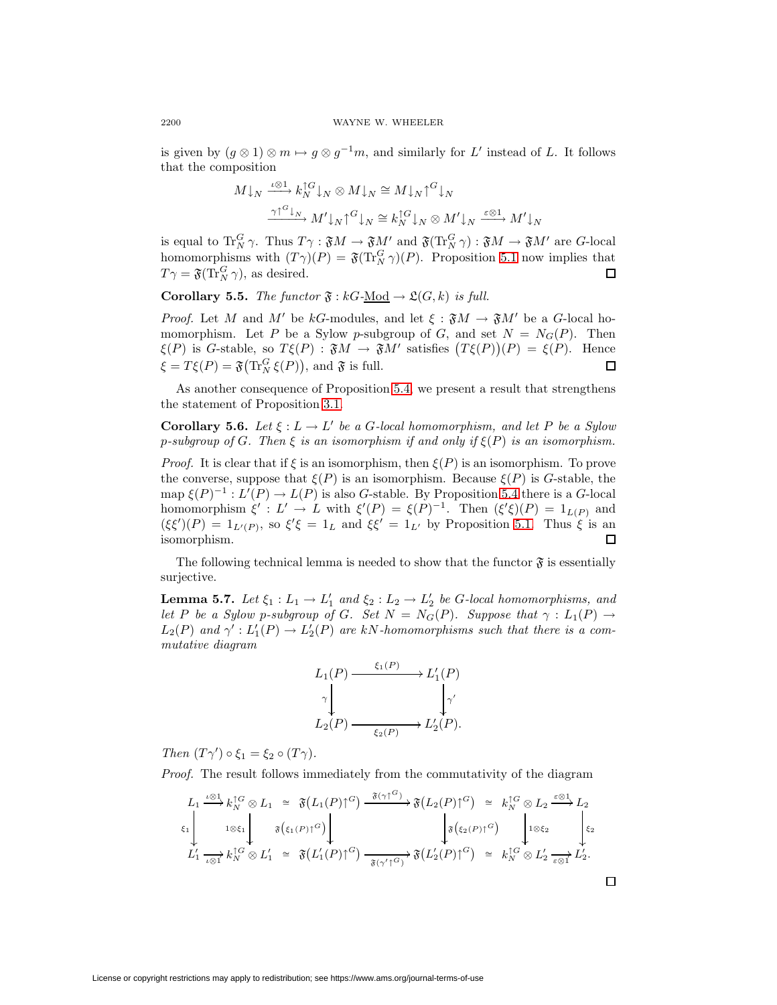is given by  $(g \otimes 1) \otimes m \mapsto g \otimes g^{-1}m$ , and similarly for L' instead of L. It follows that the composition

$$
M \downarrow_N \xrightarrow{\iota \otimes 1} k_N^{\uparrow G} \downarrow_N \otimes M \downarrow_N \cong M \downarrow_N \uparrow^G \downarrow_N
$$

$$
\xrightarrow{\gamma \uparrow^G \downarrow_N} M' \downarrow_N \uparrow^G \downarrow_N \cong k_N^{\uparrow G} \downarrow_N \otimes M' \downarrow_N \xrightarrow{\varepsilon \otimes 1} M' \downarrow_N
$$

is equal to  $\operatorname{Tr}^G_N \gamma$ . Thus  $T\gamma$ :  $\mathfrak{F}M \to \mathfrak{F}M'$  and  $\mathfrak{F}(\operatorname{Tr}^G_N \gamma)$ :  $\mathfrak{F}M \to \mathfrak{F}M'$  are G-local homomorphisms with  $(T\gamma)(P) = \mathfrak{F}(T_N^G \gamma)(P)$ . Proposition [5.1](#page-10-0) now implies that  $T\gamma = \mathfrak{F}(\text{Tr}_N^G \gamma)$ , as desired.  $\Box$ 

<span id="page-13-2"></span>**Corollary 5.5.** The functor  $\mathfrak{F}: kG-\underline{Mod} \to \mathfrak{L}(G,k)$  is full.

*Proof.* Let M and M' be kG-modules, and let  $\xi : \mathfrak{F}M \to \mathfrak{F}M'$  be a G-local homomorphism. Let P be a Sylow p-subgroup of G, and set  $N = N<sub>G</sub>(P)$ . Then  $\xi(P)$  is G-stable, so  $T\xi(P)$ :  $\mathfrak{F}M \to \mathfrak{F}M'$  satisfies  $(T\xi(P))(P) = \xi(P)$ . Hence  $\xi = T\xi(P) = \mathfrak{F}(\text{Tr}_N^G \xi(P)),$  and  $\mathfrak{F}$  is full. □

<span id="page-13-1"></span>As another consequence of Proposition [5.4,](#page-12-0) we present a result that strengthens the statement of Proposition [3.1.](#page-6-0)

**Corollary 5.6.** Let  $\xi : L \to L'$  be a G-local homomorphism, and let P be a Sylow p-subgroup of G. Then  $\xi$  is an isomorphism if and only if  $\xi(P)$  is an isomorphism.

*Proof.* It is clear that if  $\xi$  is an isomorphism, then  $\xi(P)$  is an isomorphism. To prove the converse, suppose that  $\xi(P)$  is an isomorphism. Because  $\xi(P)$  is G-stable, the map  $\xi(P)^{-1}: L'(P) \to L(P)$  is also G-stable. By Proposition [5.4](#page-12-0) there is a G-local homomorphism  $\xi' : L' \to L$  with  $\xi'(P) = \xi(P)^{-1}$ . Then  $(\xi'\xi)(P) = 1_{L(P)}$  and  $(\xi \xi')(P) = 1_{L'(P)}$ , so  $\xi' \xi = 1_L$  and  $\xi \xi' = 1_{L'}$  by Proposition [5.1.](#page-10-0) Thus  $\xi$  is an isomorphism. 口

<span id="page-13-0"></span>The following technical lemma is needed to show that the functor  $\mathfrak{F}$  is essentially surjective.

**Lemma 5.7.** Let  $\xi_1: L_1 \to L'_1$  and  $\xi_2: L_2 \to L'_2$  be G-local homomorphisms, and let P be a Sylow p-subgroup of G. Set  $N = N_G(P)$ . Suppose that  $\gamma : L_1(P) \to$  $L_2(P)$  and  $\gamma' : L'_1(P) \to L'_2(P)$  are kN-homomorphisms such that there is a commutative diagram



Then  $(T\gamma') \circ \xi_1 = \xi_2 \circ (T\gamma)$ .

Proof. The result follows immediately from the commutativity of the diagram

$$
L_1 \xrightarrow{\iota \otimes 1} k_N^{1G} \otimes L_1 \cong \mathfrak{F}(L_1(P) \uparrow^G) \xrightarrow{\mathfrak{F}(\gamma \uparrow^G)} \mathfrak{F}(L_2(P) \uparrow^G) \cong k_N^{1G} \otimes L_2 \xrightarrow{\varepsilon \otimes 1} L_2
$$
  
\n
$$
\xi_1 \downarrow \qquad \qquad \iota \otimes \xi_1 \downarrow \qquad \qquad \mathfrak{F}(\xi_1(P) \uparrow^G) \downarrow \qquad \qquad \downarrow \qquad \qquad \xi_2 \downarrow \qquad \qquad \xi_2 \downarrow \qquad \qquad \xi_2 \downarrow \qquad \qquad \xi_2 \downarrow \qquad \qquad \xi_2 \downarrow \qquad \qquad \xi_2 \downarrow \qquad \qquad \xi_2 \downarrow \qquad \qquad \xi_2 \downarrow \qquad \qquad \xi_2 \downarrow \qquad \qquad \xi_2 \downarrow \qquad \qquad \xi_2 \downarrow \qquad \qquad \xi_2 \downarrow \qquad \qquad \xi_2 \downarrow \qquad \qquad \xi_2 \downarrow \qquad \qquad \xi_2 \downarrow \qquad \qquad \xi_2 \downarrow \qquad \qquad \xi_2 \downarrow \qquad \qquad \xi_2 \downarrow \qquad \qquad \xi_2 \downarrow \qquad \qquad \xi_2 \downarrow \qquad \qquad \xi_2 \downarrow \qquad \qquad \xi_2 \downarrow \qquad \qquad \xi_2 \downarrow \qquad \qquad \xi_2 \downarrow \qquad \qquad \xi_2 \downarrow \qquad \qquad \xi_2 \downarrow \qquad \qquad \xi_2 \downarrow \qquad \qquad \xi_2 \downarrow \qquad \qquad \xi_2 \downarrow \qquad \qquad \xi_2 \downarrow \qquad \qquad \xi_2 \downarrow \qquad \qquad \xi_2 \downarrow \qquad \qquad \xi_2 \downarrow \qquad \qquad \xi_2 \downarrow \qquad \qquad \xi_2 \downarrow \qquad \qquad \xi_2 \downarrow \qquad \qquad \xi_2 \downarrow \qquad \qquad \xi_2 \downarrow \qquad \qquad \xi_2 \downarrow \qquad \qquad \xi_2 \downarrow \qquad \qquad \xi_2 \downarrow \qquad \qquad \xi_2 \downarrow \qquad \qquad \xi_2 \downarrow \qquad \qquad \xi_2 \
$$

 $\Box$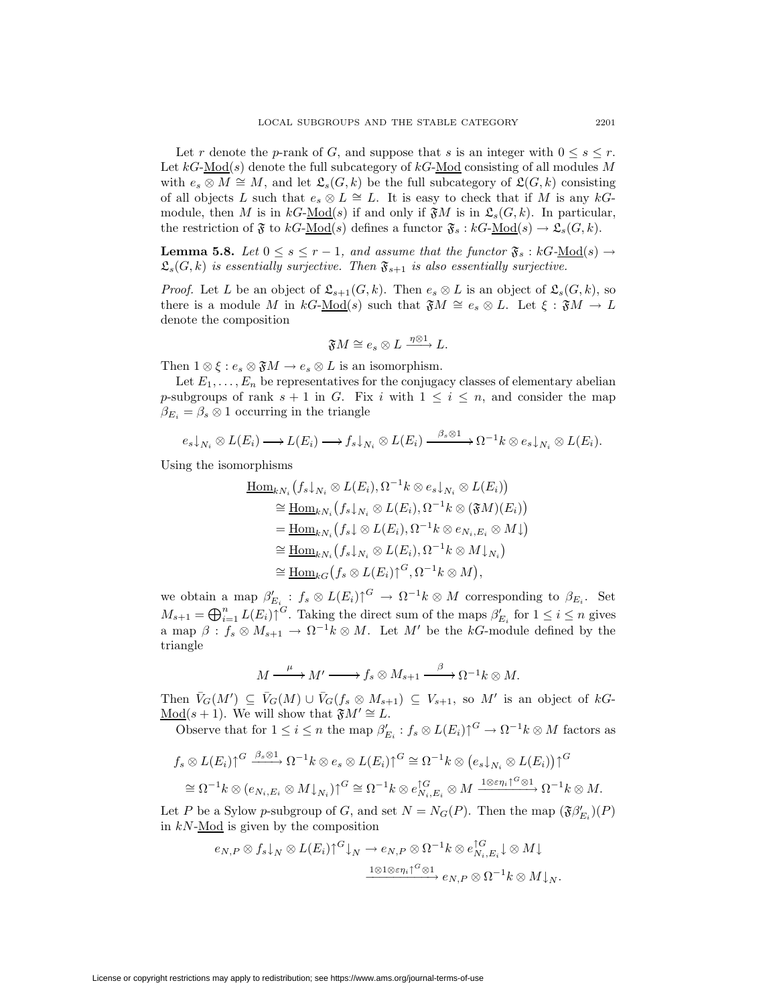Let r denote the p-rank of G, and suppose that s is an integer with  $0 \leq s \leq r$ . Let  $kG\text{-Mod}(s)$  denote the full subcategory of  $kG\text{-Mod}$  consisting of all modules M with  $e_s \otimes M \cong M$ , and let  $\mathfrak{L}_s(G,k)$  be the full subcategory of  $\mathfrak{L}(G,k)$  consisting of all objects L such that  $e_s \otimes L \cong L$ . It is easy to check that if M is any kGmodule, then M is in  $k\text{-Mod}(s)$  if and only if  $\mathfrak{F}M$  is in  $\mathfrak{L}_s(G, k)$ . In particular, the restriction of  $\mathfrak F$  to  $kG\text{-Mod}(s)$  defines a functor  $\mathfrak F_s : kG\text{-Mod}(s) \to \mathfrak L_s(G, k)$ .

<span id="page-14-0"></span>**Lemma 5.8.** Let  $0 \leq s \leq r-1$ , and assume that the functor  $\mathfrak{F}_s : kG\text{-Mod}(s) \to$  $\mathfrak{L}_{s}(G, k)$  is essentially surjective. Then  $\mathfrak{F}_{s+1}$  is also essentially surjective.

*Proof.* Let L be an object of  $\mathfrak{L}_{s+1}(G, k)$ . Then  $e_s \otimes L$  is an object of  $\mathfrak{L}_s(G, k)$ , so there is a module M in  $kG\text{-Mod}(s)$  such that  $\mathfrak{F}M \cong e_s \otimes L$ . Let  $\xi : \mathfrak{F}M \to L$ denote the composition

$$
\mathfrak{F} M \cong e_s \otimes L \xrightarrow{\eta \otimes 1} L.
$$

Then  $1 \otimes \xi : e_s \otimes \mathfrak{F}M \to e_s \otimes L$  is an isomorphism.

Let  $E_1,\ldots,E_n$  be representatives for the conjugacy classes of elementary abelian p-subgroups of rank  $s + 1$  in G. Fix i with  $1 \leq i \leq n$ , and consider the map  $\beta_{E_i} = \beta_s \otimes 1$  occurring in the triangle

$$
e_s\downarrow_{N_i} \otimes L(E_i) \longrightarrow L(E_i) \longrightarrow f_s\downarrow_{N_i} \otimes L(E_i) \longrightarrow \stackrel{\beta_s \otimes 1}{\longrightarrow} \Omega^{-1}k \otimes e_s\downarrow_{N_i} \otimes L(E_i).
$$

Using the isomorphisms

$$
\underline{\operatorname{Hom}}_{kN_i}\big(f_s\downarrow_{N_i}\otimes L(E_i),\Omega^{-1}k\otimes e_s\downarrow_{N_i}\otimes L(E_i)\big) \cong \underline{\operatorname{Hom}}_{kN_i}\big(f_s\downarrow_{N_i}\otimes L(E_i),\Omega^{-1}k\otimes (\mathfrak{F}M)(E_i)\big) \n= \underline{\operatorname{Hom}}_{kN_i}\big(f_s\downarrow\otimes L(E_i),\Omega^{-1}k\otimes e_{N_i,E_i}\otimes M\downarrow\big) \cong \underline{\operatorname{Hom}}_{kN_i}\big(f_s\downarrow_{N_i}\otimes L(E_i),\Omega^{-1}k\otimes M\downarrow_{N_i}\big) \cong \underline{\operatorname{Hom}}_{kG}\big(f_s\otimes L(E_i)\uparrow^G,\Omega^{-1}k\otimes M\big),
$$

we obtain a map  $\beta'_{E_i} : f_s \otimes L(E_i) \uparrow^G \to \Omega^{-1} k \otimes M$  corresponding to  $\beta_{E_i}$ . Set  $M_{s+1} = \bigoplus_{i=1}^{n} L(E_i) \cap G$ . Taking the direct sum of the maps  $\beta'_{E_i}$  for  $1 \leq i \leq n$  gives a map  $\beta: f_s \otimes M_{s+1} \to \Omega^{-1} k \otimes M$ . Let  $M'$  be the kG-module defined by the triangle

$$
M \xrightarrow{\mu} M' \xrightarrow{\mu} f_s \otimes M_{s+1} \xrightarrow{\beta} \Omega^{-1} k \otimes M.
$$

Then  $\bar{V}_G(M') \subseteq \bar{V}_G(M) \cup \bar{V}_G(f_s \otimes M_{s+1}) \subseteq V_{s+1}$ , so M' is an object of  $kG$ -Mod(s + 1). We will show that  $\mathfrak{F}M' \cong L$ .

Observe that for  $1 \leq i \leq n$  the map  $\beta'_{E_i} : f_s \otimes L(E_i) \uparrow^G \to \Omega^{-1} k \otimes M$  factors as

$$
f_s \otimes L(E_i) \uparrow^{G} \xrightarrow{\beta_s \otimes 1} \Omega^{-1} k \otimes e_s \otimes L(E_i) \uparrow^{G} \cong \Omega^{-1} k \otimes (e_s \downarrow_{N_i} \otimes L(E_i)) \uparrow^{G}
$$
  

$$
\cong \Omega^{-1} k \otimes (e_{N_i, E_i} \otimes M \downarrow_{N_i}) \uparrow^{G} \cong \Omega^{-1} k \otimes e_{N_i, E_i}^{\uparrow G} \otimes M \xrightarrow{1 \otimes \varepsilon \eta_i \uparrow^{G} \otimes 1} \Omega^{-1} k \otimes M.
$$

Let P be a Sylow p-subgroup of G, and set  $N = N_G(P)$ . Then the map  $(\mathfrak{F}\beta'_{E_i})(P)$ in kN-Mod is given by the composition

$$
e_{N,P} \otimes f_s \downarrow_N \otimes L(E_i) \uparrow^G \downarrow_N \to e_{N,P} \otimes \Omega^{-1} k \otimes e_{N_i,E_i}^{\uparrow G} \downarrow \otimes M \downarrow
$$

$$
\xrightarrow{\mathbf{1} \otimes \mathbf{1} \otimes \varepsilon \eta_i \uparrow^G \otimes \mathbf{1}} e_{N,P} \otimes \Omega^{-1} k \otimes M \downarrow_N.
$$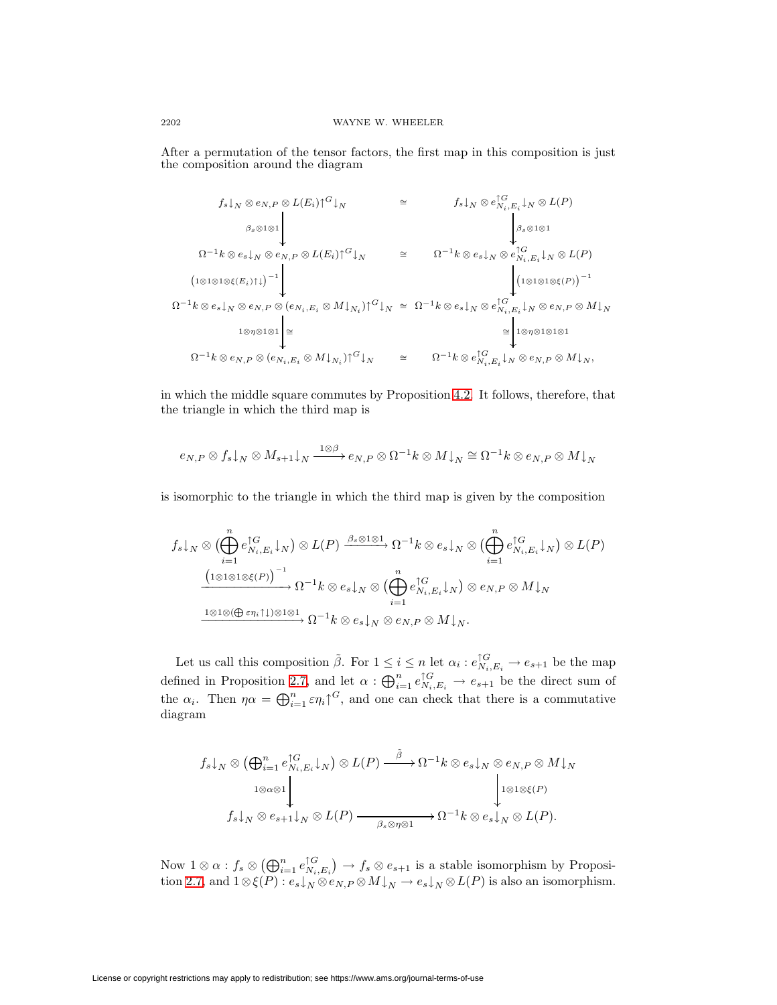After a permutation of the tensor factors, the first map in this composition is just the composition around the diagram

$$
f_{s}|_{N} \otimes e_{N,P} \otimes L(E_{i}) \uparrow^{G}|_{N} \cong f_{s}|_{N} \otimes e_{N_{i},E_{i}}^{\uparrow G}|_{N} \otimes L(P)
$$
\n
$$
\Omega^{-1}k \otimes e_{s}|_{N} \otimes e_{N,P} \otimes L(E_{i}) \uparrow^{G}|_{N} \cong \Omega^{-1}k \otimes e_{s}|_{N} \otimes e_{N_{i},E_{i}}^{\uparrow G}|_{N} \otimes L(P)
$$
\n
$$
\Omega^{-1}k \otimes e_{s}|_{N} \otimes e_{N,P} \otimes (e_{N_{i},E_{i}} \otimes M|_{N_{i}}) \uparrow^{G}|_{N} \cong \Omega^{-1}k \otimes e_{s}|_{N} \otimes e_{N_{i},E_{i}}^{\uparrow G}|_{N} \otimes e_{N,P} \otimes M|_{N}
$$
\n
$$
\Omega^{-1}k \otimes e_{N,P} \otimes (e_{N_{i},E_{i}} \otimes M|_{N_{i}}) \uparrow^{G}|_{N} \cong \Omega^{-1}k \otimes e_{s}|_{N} \otimes e_{N_{i},E_{i}}^{\uparrow G}|_{N} \otimes e_{N,P} \otimes M|_{N}
$$
\n
$$
\Omega^{-1}k \otimes e_{N,P} \otimes (e_{N_{i},E_{i}} \otimes M|_{N_{i}}) \uparrow^{G}|_{N} \cong \Omega^{-1}k \otimes e_{N_{i},E_{i}}^{\uparrow G}|_{N} \otimes e_{N,P} \otimes M|_{N},
$$

in which the middle square commutes by Proposition [4.2.](#page-8-0) It follows, therefore, that the triangle in which the third map is

$$
e_{N,P} \otimes f_s \mathord{\downarrow_N} \otimes M_{s+1} \mathord{\downarrow_N} \xrightarrow{1 \otimes \beta} e_{N,P} \otimes \Omega^{-1} k \otimes M \mathord{\downarrow_N} \cong \Omega^{-1} k \otimes e_{N,P} \otimes M \mathord{\downarrow_N}
$$

is isomorphic to the triangle in which the third map is given by the composition

$$
f_s \downarrow_N \otimes (\bigoplus_{i=1}^n e_{N_i, E_i}^{\uparrow G} \downarrow_N) \otimes L(P) \xrightarrow{\beta_s \otimes 1 \otimes 1} \Omega^{-1} k \otimes e_s \downarrow_N \otimes (\bigoplus_{i=1}^n e_{N_i, E_i}^{\uparrow G} \downarrow_N) \otimes L(P)
$$

$$
\xrightarrow{\left(1 \otimes 1 \otimes 1 \otimes \xi(P)\right)^{-1}} \Omega^{-1} k \otimes e_s \downarrow_N \otimes (\bigoplus_{i=1}^n e_{N_i, E_i}^{\uparrow G} \downarrow_N) \otimes e_{N, P} \otimes M \downarrow_N
$$

$$
\xrightarrow{\mathbf{1} \otimes 1 \otimes (\bigoplus \varepsilon \eta_i \uparrow \downarrow) \otimes \mathbf{1} \otimes \mathbf{1}} \Omega^{-1} k \otimes e_s \downarrow_N \otimes e_{N, P} \otimes M \downarrow_N.
$$

Let us call this composition  $\tilde{\beta}$ . For  $1 \leq i \leq n$  let  $\alpha_i : e_{N_i,E_i}^{\uparrow G} \to e_{s+1}$  be the map defined in Proposition [2.7,](#page-4-0) and let  $\alpha: \bigoplus_{i=1}^n e_{N_i,E_i}^{\uparrow G} \to e_{s+1}$  be the direct sum of the  $\alpha_i$ . Then  $\eta \alpha = \bigoplus_{i=1}^n \epsilon \eta_i \gamma^G$ , and one can check that there is a commutative diagram

$$
f_s \downarrow_N \otimes (\bigoplus_{i=1}^n e_{N_i, E_i}^{\uparrow G} \downarrow_N) \otimes L(P) \xrightarrow{\tilde{\beta}} \Omega^{-1} k \otimes e_s \downarrow_N \otimes e_{N, P} \otimes M \downarrow_N
$$
  

$$
1 \otimes \alpha \otimes 1
$$
  

$$
f_s \downarrow_N \otimes e_{s+1} \downarrow_N \otimes L(P) \xrightarrow{\tilde{\beta}} \beta_s \otimes \eta \otimes 1} \Omega^{-1} k \otimes e_s \downarrow_N \otimes L(P).
$$

Now  $1 \otimes \alpha$  :  $f_s \otimes (\bigoplus_{i=1}^n e_{N_i, E_i}^{\uparrow G}) \to f_s \otimes e_{s+1}$  is a stable isomorphism by Proposi-tion [2.7,](#page-4-0) and  $1 \otimes \xi(P) : e_s \downarrow_N \otimes e_{N,P} \otimes M \downarrow_N \to e_s \downarrow_N \otimes L(P)$  is also an isomorphism.

License or copyright restrictions may apply to redistribution; see https://www.ams.org/journal-terms-of-use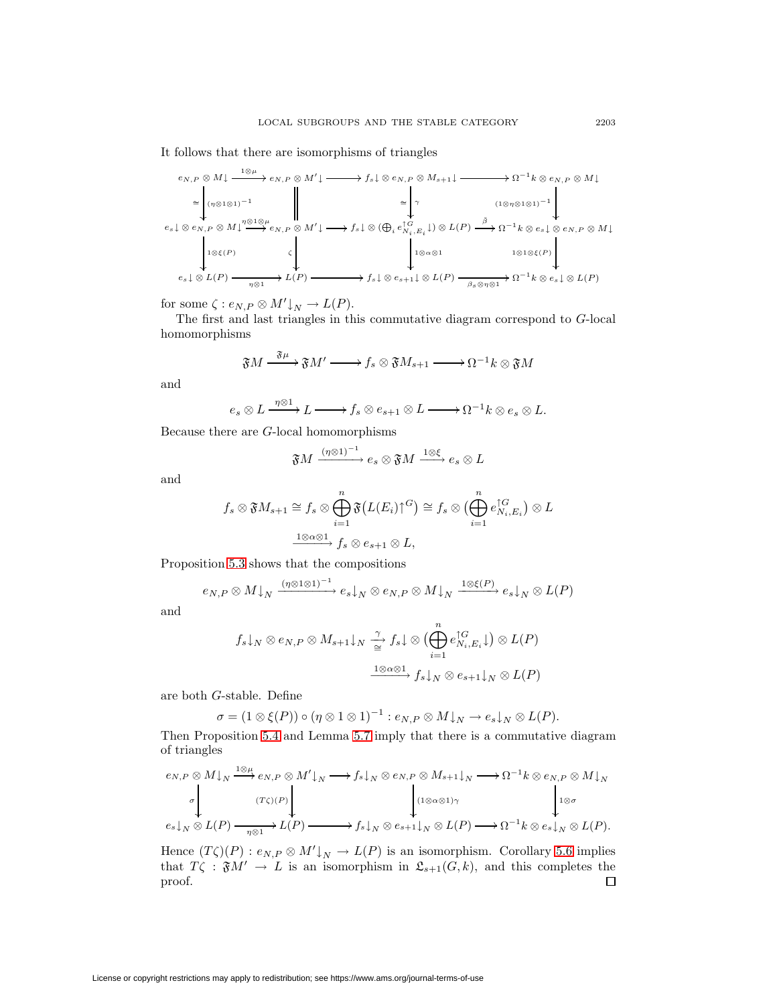It follows that there are isomorphisms of triangles

$$
e_{N,P} \otimes M \downarrow \xrightarrow{1 \otimes \mu} e_{N,P} \otimes M' \downarrow \xrightarrow{\qquad} f_s \downarrow \otimes e_{N,P} \otimes M_{s+1} \downarrow \xrightarrow{\qquad} \Omega^{-1} k \otimes e_{N,P} \otimes M \downarrow
$$
\n
$$
\cong \begin{pmatrix} \eta \otimes 1 \otimes 1 \end{pmatrix}^{-1}
$$
\n
$$
e_s \downarrow \otimes e_{N,P} \otimes M \downarrow \xrightarrow{\eta \otimes 1 \otimes \mu} e_{N,P} \otimes M' \downarrow \xrightarrow{\qquad} f_s \downarrow \otimes (\bigoplus_i e_{N_i,E_i}^{\uparrow G} \downarrow) \otimes L(P) \xrightarrow{\tilde{\beta}} \Omega^{-1} k \otimes e_s \downarrow \otimes e_{N,P} \otimes M \downarrow
$$
\n
$$
e_s \downarrow \otimes L(P) \xrightarrow{\qquad} \Omega^{-1} L(P) \xrightarrow{\qquad} f_s \downarrow \otimes e_{s+1} \downarrow \otimes L(P) \xrightarrow{\qquad} f_s \downarrow \otimes E(P) \xrightarrow{\qquad} f_s \otimes e_{s+1} \downarrow \otimes L(P) \xrightarrow{\qquad} f_s \otimes e_{N,P} \otimes L(P)
$$

for some  $\zeta: e_{N,P} \otimes M' \downarrow_N \to L(P)$ .

The first and last triangles in this commutative diagram correspond to G-local homomorphisms

$$
\mathfrak{F}M \xrightarrow{\mathfrak{F}\mu} \mathfrak{F}M' \longrightarrow f_s \otimes \mathfrak{F}M_{s+1} \longrightarrow \Omega^{-1}k \otimes \mathfrak{F}M
$$

and

$$
e_s \otimes L \xrightarrow{\eta \otimes 1} L \longrightarrow f_s \otimes e_{s+1} \otimes L \longrightarrow \Omega^{-1} k \otimes e_s \otimes L.
$$

Because there are G-local homomorphisms

$$
\mathfrak{F}M\xrightarrow{(\eta\otimes 1)^{-1}}e_s\otimes \mathfrak{F}M\xrightarrow{1\otimes\xi}e_s\otimes L
$$

and

$$
f_s \otimes \mathfrak{F} M_{s+1} \cong f_s \otimes \bigoplus_{i=1}^n \mathfrak{F} (L(E_i) \cap G) \cong f_s \otimes \bigoplus_{i=1}^n e_{N_i, E_i}^{\cap G} \big) \otimes L
$$
  

$$
\xrightarrow{\mathbf{1} \otimes \alpha \otimes \mathbf{1}} f_s \otimes e_{s+1} \otimes L,
$$

Proposition [5.3](#page-11-0) shows that the compositions

$$
e_{N,P} \otimes M \downarrow_N \xrightarrow{(\eta \otimes 1 \otimes 1)^{-1}} e_s \downarrow_N \otimes e_{N,P} \otimes M \downarrow_N \xrightarrow{1 \otimes \xi(P)} e_s \downarrow_N \otimes L(P)
$$

and

$$
f_s \downarrow_N \otimes e_{N,P} \otimes M_{s+1} \downarrow_N \xrightarrow{\gamma} f_s \downarrow \otimes \left( \bigoplus_{i=1}^n e_{N_i, E_i}^{\uparrow G} \downarrow \right) \otimes L(P)
$$

$$
\xrightarrow{1 \otimes \alpha \otimes 1} f_s \downarrow_N \otimes e_{s+1} \downarrow_N \otimes L(P)
$$

are both G-stable. Define

$$
\sigma = (1 \otimes \xi(P)) \circ (\eta \otimes 1 \otimes 1)^{-1} : e_{N,P} \otimes M \downarrow_N \to e_s \downarrow_N \otimes L(P).
$$

Then Proposition [5.4](#page-12-0) and Lemma [5.7](#page-13-0) imply that there is a commutative diagram of triangles

$$
e_{N,P} \otimes M\downarrow_{N} \xrightarrow{\mathbf{1} \otimes \mu} e_{N,P} \otimes M'\downarrow_{N} \longrightarrow f_{s}\downarrow_{N} \otimes e_{N,P} \otimes M_{s+1}\downarrow_{N} \longrightarrow \Omega^{-1}k \otimes e_{N,P} \otimes M\downarrow_{N}
$$
  
\n
$$
\sigma \downarrow \qquad \qquad \downarrow \qquad \qquad \downarrow \qquad \qquad \downarrow \qquad \qquad \downarrow \qquad \qquad \downarrow \qquad \qquad \downarrow \qquad \qquad \downarrow \qquad \qquad \downarrow \qquad \qquad \downarrow \qquad \qquad \downarrow \qquad \qquad \downarrow \qquad \qquad \downarrow \qquad \qquad \downarrow \qquad \downarrow \qquad \qquad \downarrow \qquad \downarrow \qquad \downarrow \qquad \qquad \downarrow \qquad \downarrow \qquad \qquad \downarrow \qquad \downarrow \qquad \downarrow \qquad \downarrow \qquad \qquad \downarrow \qquad \downarrow \qquad \downarrow \qquad \downarrow \qquad \downarrow \qquad \downarrow \qquad \downarrow \qquad \downarrow \qquad \downarrow \qquad \downarrow \qquad \downarrow \qquad \downarrow \qquad \downarrow \qquad \downarrow \qquad \downarrow \qquad \downarrow \qquad \downarrow \qquad \downarrow \qquad \downarrow \qquad \downarrow \qquad \downarrow \qquad \downarrow \qquad \downarrow \qquad \downarrow \qquad \downarrow \qquad \downarrow \qquad \downarrow \qquad \downarrow \qquad \downarrow \qquad \downarrow \qquad \downarrow \qquad \downarrow \qquad \downarrow \qquad \downarrow \qquad \downarrow \qquad \downarrow \qquad \downarrow \qquad \downarrow \qquad \downarrow \qquad \downarrow \qquad \downarrow \qquad \downarrow \qquad \downarrow \qquad \downarrow \qquad \downarrow \qquad \downarrow \qquad \downarrow \qquad \downarrow \qquad \downarrow \qquad \downarrow \qquad \downarrow \qquad \downarrow \qquad \downarrow \qquad \downarrow \qquad \downarrow \qquad \downarrow \qquad \downarrow \qquad \downarrow \qquad \downarrow \qquad \downarrow \qquad \downarrow \qquad \downarrow \qquad \downarrow \qquad \downarrow \qquad \downarrow \qquad \downarrow \qquad \downarrow \qquad \downarrow \qquad \downarrow \qquad \downarrow \qquad \downarrow \qquad \downarrow \qquad \downarrow \qquad \downarrow \qquad \downarrow \
$$

Hence  $(T\zeta)(P) : e_{N,P} \otimes M' \downarrow_N \to L(P)$  is an isomorphism. Corollary [5.6](#page-13-1) implies that  $T\zeta : \mathfrak{F}M' \to L$  is an isomorphism in  $\mathfrak{L}_{s+1}(G, k)$ , and this completes the proof.  $\Box$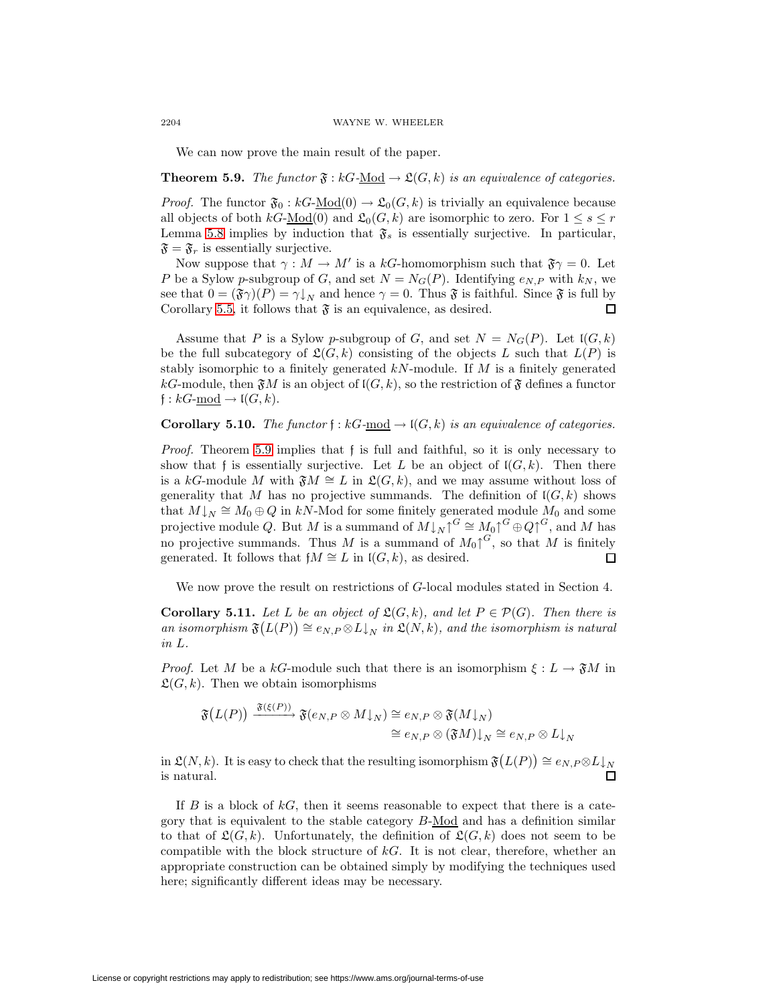We can now prove the main result of the paper.

<span id="page-17-0"></span>**Theorem 5.9.** The functor  $\mathfrak{F}: kG-\underline{Mod} \to \mathfrak{L}(G,k)$  is an equivalence of categories.

*Proof.* The functor  $\mathfrak{F}_0 : kG\text{-Mod}(0) \to \mathfrak{L}_0(G,k)$  is trivially an equivalence because all objects of both  $kG\text{-Mod}(0)$  and  $\mathfrak{L}_0(G, k)$  are isomorphic to zero. For  $1 \leq s \leq r$ Lemma [5.8](#page-14-0) implies by induction that  $\mathfrak{F}_s$  is essentially surjective. In particular,  $\mathfrak{F} = \mathfrak{F}_r$  is essentially surjective.

Now suppose that  $\gamma : M \to M'$  is a kG-homomorphism such that  $\mathfrak{F}\gamma = 0$ . Let P be a Sylow p-subgroup of G, and set  $N = N_G(P)$ . Identifying  $e_{N,P}$  with  $k_N$ , we see that  $0 = (\mathfrak{F}\gamma)(P) = \gamma\downarrow_N$  and hence  $\gamma = 0$ . Thus  $\mathfrak{F}$  is faithful. Since  $\mathfrak{F}$  is full by Corollary [5.5,](#page-13-2) it follows that  $\mathfrak F$  is an equivalence, as desired. П

Assume that P is a Sylow p-subgroup of G, and set  $N = N<sub>G</sub>(P)$ . Let  $I(G, k)$ be the full subcategory of  $\mathfrak{L}(G, k)$  consisting of the objects L such that  $L(P)$  is stably isomorphic to a finitely generated  $kN$ -module. If M is a finitely generated kG-module, then  $\mathfrak{F}M$  is an object of  $\mathfrak{l}(G, k)$ , so the restriction of  $\mathfrak{F}$  defines a functor  $f: kG$ -mod  $\rightarrow$   $\mathfrak{l}(G, k)$ .

**Corollary 5.10.** The functor  $f : kG$ -mod  $\rightarrow$   $I(G, k)$  is an equivalence of categories.

Proof. Theorem [5.9](#page-17-0) implies that f is full and faithful, so it is only necessary to show that f is essentially surjective. Let L be an object of  $\mathfrak{l}(G, k)$ . Then there is a kG-module M with  $\mathfrak{F}M \cong L$  in  $\mathfrak{L}(G, k)$ , and we may assume without loss of generality that M has no projective summands. The definition of  $I(G, k)$  shows that  $M\downarrow_N \cong M_0 \oplus Q$  in kN-Mod for some finitely generated module  $M_0$  and some projective module Q. But M is a summand of  $M\downarrow_N\uparrow^G\cong M_0\uparrow^G\oplus Q\uparrow^G$ , and M has no projective summands. Thus M is a summand of  $M_0 \uparrow^{G}$ , so that M is finitely generated. It follows that  $fM \cong L$  in  $I(G, k)$ , as desired.  $\Box$ 

We now prove the result on restrictions of G-local modules stated in Section 4.

**Corollary 5.11.** Let L be an object of  $\mathfrak{L}(G,k)$ , and let  $P \in \mathcal{P}(G)$ . Then there is an isomorphism  $\mathfrak{F}(L(P)) \cong e_{N,P} \otimes L\downarrow_N$  in  $\mathfrak{L}(N,k)$ , and the isomorphism is natural in L.

*Proof.* Let M be a kG-module such that there is an isomorphism  $\xi : L \to \mathfrak{F}M$  in  $\mathfrak{L}(G, k)$ . Then we obtain isomorphisms

$$
\mathfrak{F}(L(P)) \xrightarrow{\mathfrak{F}(\xi(P))} \mathfrak{F}(e_N, P \otimes M \downarrow_N) \cong e_N, P \otimes \mathfrak{F}(M \downarrow_N)
$$
  

$$
\cong e_N, P \otimes (\mathfrak{F}M) \downarrow_N \cong e_N, P \otimes L \downarrow_N
$$

in  $\mathfrak{L}(N,k)$ . It is easy to check that the resulting isomorphism  $\mathfrak{F}(L(P)) \cong e_{N,P} \otimes L\downarrow_N$ is natural. П

If  $B$  is a block of  $kG$ , then it seems reasonable to expect that there is a category that is equivalent to the stable category  $B\text{-Mod}$  and has a definition similar to that of  $\mathfrak{L}(G, k)$ . Unfortunately, the definition of  $\mathfrak{L}(G, k)$  does not seem to be compatible with the block structure of  $kG$ . It is not clear, therefore, whether an appropriate construction can be obtained simply by modifying the techniques used here; significantly different ideas may be necessary.